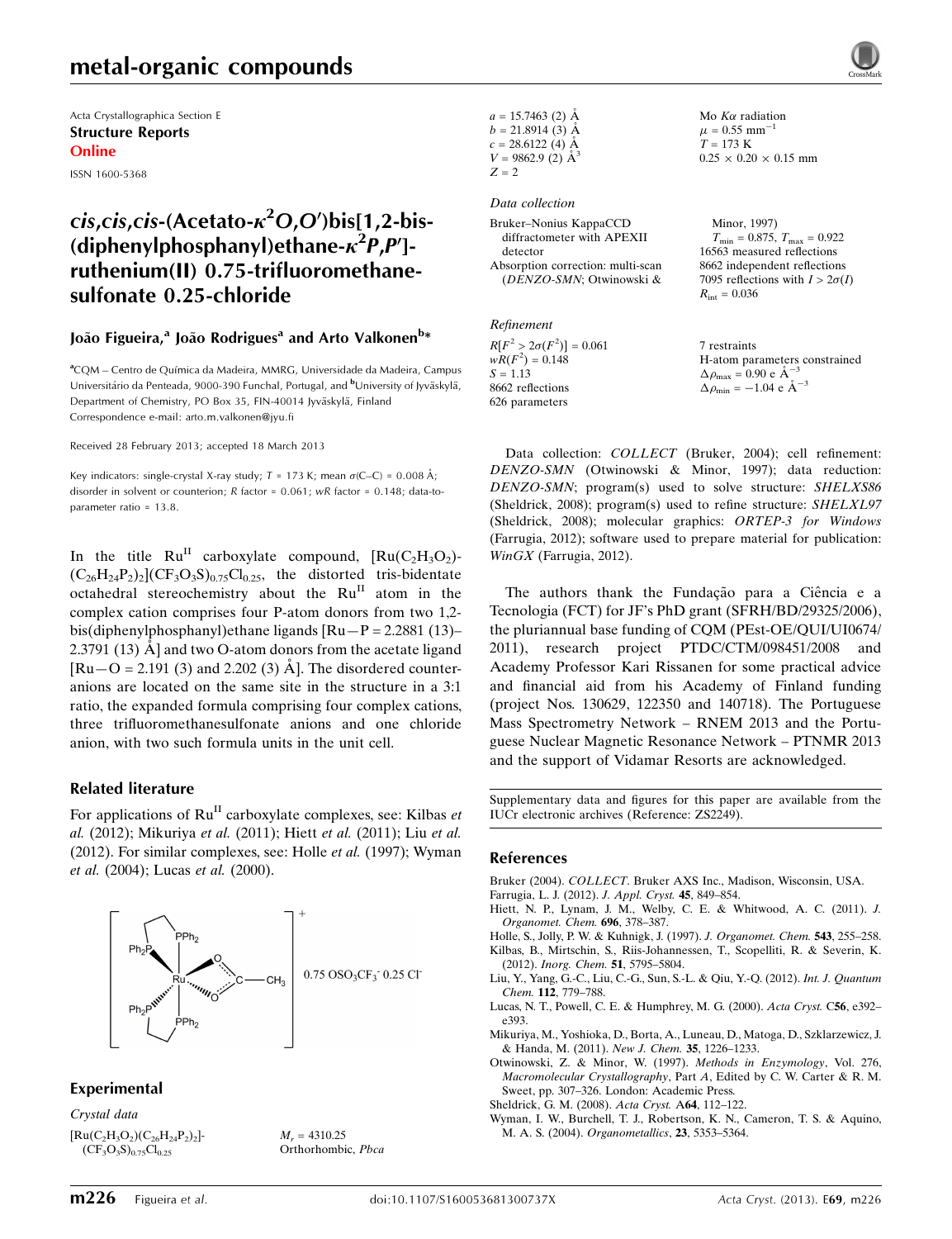## metal-organic compounds

Acta Crystallographica Section E Structure Reports Online

ISSN 1600-5368

## cis,cis,cis-(Acetato- $\kappa^2$ O,O')bis[1,2-bis-(diphenylphosphanyl)ethane- $\kappa^2 P, P'$ ]ruthenium(II) 0.75-trifluoromethanesulfonate 0.25-chloride

#### João Figueira,<sup>a</sup> João Rodrigues<sup>a</sup> and Arto Valkonen<sup>b</sup>\*

<sup>a</sup>CQM – Centro de Química da Madeira, MMRG, Universidade da Madeira, Campus Universitário da Penteada, 9000-390 Funchal, Portugal, and <sup>b</sup>University of Jyväskylä, Department of Chemistry, PO Box 35, FIN-40014 Jyväskylä, Finland Correspondence e-mail: [arto.m.valkonen@jyu.fi](https://scripts.iucr.org/cgi-bin/cr.cgi?rm=pdfbb&cnor=zs2249&bbid=BB11)

Received 28 February 2013; accepted 18 March 2013

Key indicators: single-crystal X-ray study;  $T = 173$  K; mean  $\sigma$ (C–C) = 0.008 Å; disorder in solvent or counterion; R factor = 0.061; wR factor = 0.148; data-toparameter ratio = 13.8.

In the title  $Ru^{II}$  carboxylate compound,  $[Ru(C_2H_3O_2) (C_{26}H_{24}P_2)_2(CF_3O_3S)_{0.75}Cl_{0.25}$ , the distorted tris-bidentate octahedral stereochemistry about the  $Ru^{II}$  atom in the complex cation comprises four P-atom donors from two 1,2 bis(diphenylphosphanyl)ethane ligands [Ru—P = 2.2881 (13)– 2.3791 (13)  $\AA$ ] and two O-atom donors from the acetate ligand  $\text{[Ru-O = 2.191 (3) and 2.202 (3) Å}.$  The disordered counteranions are located on the same site in the structure in a 3:1 ratio, the expanded formula comprising four complex cations, three trifluoromethanesulfonate anions and one chloride anion, with two such formula units in the unit cell.

#### Related literature

For applications of  $Ru<sup>H</sup>$  carboxylate complexes, see: Kilbas *et* al. (2012); Mikuriya et al. (2011); Hiett et al. (2011); Liu et al. (2012). For similar complexes, see: Holle et al. (1997); Wyman et al. (2004); Lucas et al. (2000).



#### Experimental

Crystal data  $[Ru(C_2H_3O_2)(C_{26}H_{24}P_2)_2]$ - $(CF_3O_3S)_{0.75}Cl_{0.25}$ 

 $M_r = 4310.25$ Orthorhombic, Pbca  $a = 15.7463$  (2) Å  $b = 21.8914(3)$  Å  $c = 28.6122(4)$  Å  $V = 9862.9$  (2)  $\AA^3$  $Z=\sqrt{2}$ 

Data collection

Bruker–Nonius KappaCCD diffractometer with APEXII detector Absorption correction: multi-scan (DENZO-SMN; Otwinowski &

## Refinement

 $R[F^2 > 2\sigma(F^2)] = 0.061$ <br>  $wR(F^2) = 0.148$  $S = 1.13$ 8662 reflections 626 parameters

 $T_{\text{min}} = 0.875, T_{\text{max}} = 0.922$ 16563 measured reflections 8662 independent reflections 7095 reflections with  $I > 2\sigma(I)$  $R_{\text{int}} = 0.036$ 

Mo  $K\alpha$  radiation  $\mu = 0.55$  mm<sup>-1</sup>  $T = 173 \text{ K}$ 

Minor, 1997)

 $0.25 \times 0.20 \times 0.15$  mm

7 restraints H-atom parameters constrained<br> $\Delta \rho = 0.90 e^{\frac{\lambda}{2} - 3}$  $\Delta \rho_{\text{max}} = 0.90 \text{ e A}^{-}$  $\Delta \rho_{\text{min}} = -1.04 \text{ e } \text{\AA}^{-3}$ 

Data collection: COLLECT (Bruker, 2004); cell refinement: DENZO-SMN (Otwinowski & Minor, 1997); data reduction: DENZO-SMN; program(s) used to solve structure: SHELXS86 (Sheldrick, 2008); program(s) used to refine structure: SHELXL97 (Sheldrick, 2008); molecular graphics: ORTEP-3 for Windows (Farrugia, 2012); software used to prepare material for publication: WinGX (Farrugia, 2012).

The authors thank the Fundação para a Ciência e a Tecnologia (FCT) for JF's PhD grant (SFRH/BD/29325/2006), the pluriannual base funding of CQM (PEst-OE/QUI/UI0674/ 2011), research project PTDC/CTM/098451/2008 and Academy Professor Kari Rissanen for some practical advice and financial aid from his Academy of Finland funding (project Nos. 130629, 122350 and 140718). The Portuguese Mass Spectrometry Network – RNEM 2013 and the Portuguese Nuclear Magnetic Resonance Network – PTNMR 2013 and the support of Vidamar Resorts are acknowledged.

Supplementary data and figures for this paper are available from the IUCr electronic archives (Reference: ZS2249).

#### References

Bruker (2004). COLLECT[. Bruker AXS Inc., Madison, Wisconsin, USA.](https://scripts.iucr.org/cgi-bin/cr.cgi?rm=pdfbb&cnor=zs2249&bbid=BB1)

- [Farrugia, L. J. \(2012\).](https://scripts.iucr.org/cgi-bin/cr.cgi?rm=pdfbb&cnor=zs2249&bbid=BB2) J. Appl. Cryst. 45, 849–854.
- [Hiett, N. P., Lynam, J. M., Welby, C. E. & Whitwood, A. C. \(2011\).](https://scripts.iucr.org/cgi-bin/cr.cgi?rm=pdfbb&cnor=zs2249&bbid=BB3) J. [Organomet. Chem.](https://scripts.iucr.org/cgi-bin/cr.cgi?rm=pdfbb&cnor=zs2249&bbid=BB3) 696, 378–387.
- [Holle, S., Jolly, P. W. & Kuhnigk, J. \(1997\).](https://scripts.iucr.org/cgi-bin/cr.cgi?rm=pdfbb&cnor=zs2249&bbid=BB4) J. Organomet. Chem. 543, 255–258. [Kilbas, B., Mirtschin, S., Riis-Johannessen, T., Scopelliti, R. & Severin, K.](https://scripts.iucr.org/cgi-bin/cr.cgi?rm=pdfbb&cnor=zs2249&bbid=BB5)
- (2012). [Inorg. Chem.](https://scripts.iucr.org/cgi-bin/cr.cgi?rm=pdfbb&cnor=zs2249&bbid=BB5) 51, 5795–5804. [Liu, Y., Yang, G.-C., Liu, C.-G., Sun, S.-L. & Qiu, Y.-Q. \(2012\).](https://scripts.iucr.org/cgi-bin/cr.cgi?rm=pdfbb&cnor=zs2249&bbid=BB6) Int. J. Quantum Chem. 112[, 779–788.](https://scripts.iucr.org/cgi-bin/cr.cgi?rm=pdfbb&cnor=zs2249&bbid=BB6)
- [Lucas, N. T., Powell, C. E. & Humphrey, M. G. \(2000\).](https://scripts.iucr.org/cgi-bin/cr.cgi?rm=pdfbb&cnor=zs2249&bbid=BB7) Acta Cryst. C56, e392– [e393.](https://scripts.iucr.org/cgi-bin/cr.cgi?rm=pdfbb&cnor=zs2249&bbid=BB7)
- [Mikuriya, M., Yoshioka, D., Borta, A., Luneau, D., Matoga, D., Szklarzewicz, J.](https://scripts.iucr.org/cgi-bin/cr.cgi?rm=pdfbb&cnor=zs2249&bbid=BB8) [& Handa, M. \(2011\).](https://scripts.iucr.org/cgi-bin/cr.cgi?rm=pdfbb&cnor=zs2249&bbid=BB8) New J. Chem. 35, 1226–1233.
- [Otwinowski, Z. & Minor, W. \(1997\).](https://scripts.iucr.org/cgi-bin/cr.cgi?rm=pdfbb&cnor=zs2249&bbid=BB9) Methods in Enzymology, Vol. 276, Macromolecular Crystallography, Part A[, Edited by C. W. Carter & R. M.](https://scripts.iucr.org/cgi-bin/cr.cgi?rm=pdfbb&cnor=zs2249&bbid=BB9) [Sweet, pp. 307–326. London: Academic Press.](https://scripts.iucr.org/cgi-bin/cr.cgi?rm=pdfbb&cnor=zs2249&bbid=BB9)
- [Sheldrick, G. M. \(2008\).](https://scripts.iucr.org/cgi-bin/cr.cgi?rm=pdfbb&cnor=zs2249&bbid=BB10) Acta Cryst. A64, 112–122.
- [Wyman, I. W., Burchell, T. J., Robertson, K. N., Cameron, T. S. & Aquino,](https://scripts.iucr.org/cgi-bin/cr.cgi?rm=pdfbb&cnor=zs2249&bbid=BB11) M. A. S. (2004). [Organometallics](https://scripts.iucr.org/cgi-bin/cr.cgi?rm=pdfbb&cnor=zs2249&bbid=BB11), 23, 5353–5364.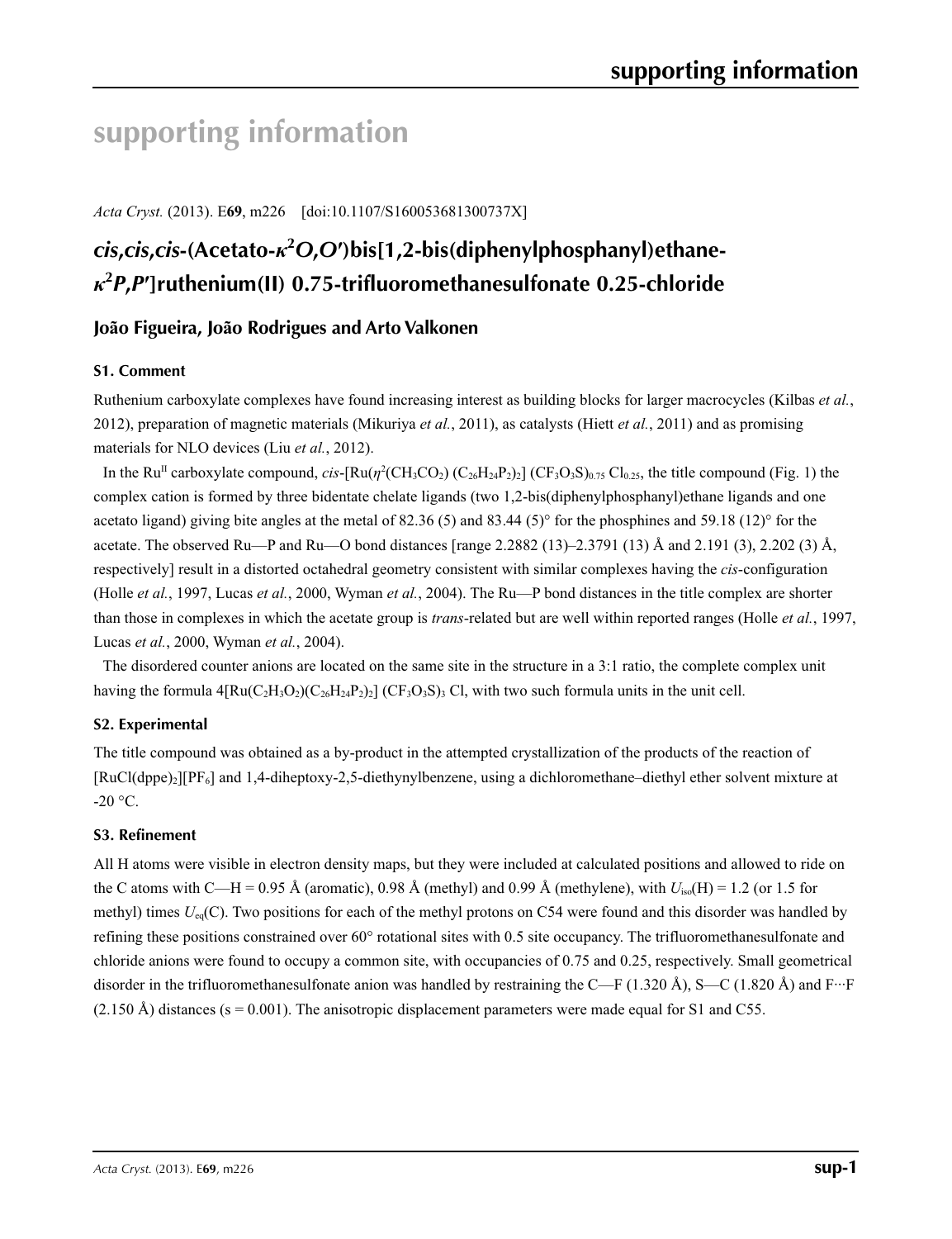# **supporting information**

*Acta Cryst.* (2013). E**69**, m226 [doi:10.1107/S160053681300737X]

# *cis***,***cis***,***cis***-(Acetato-***κ***<sup>2</sup>** *O***,***O***′)bis[1,2-bis(diphenylphosphanyl)ethane***κ***2** *P***,***P***′]ruthenium(II) 0.75-trifluoromethanesulfonate 0.25-chloride**

## **João Figueira, João Rodrigues and Arto Valkonen**

#### **S1. Comment**

Ruthenium carboxylate complexes have found increasing interest as building blocks for larger macrocycles (Kilbas *et al.*, 2012), preparation of magnetic materials (Mikuriya *et al.*, 2011), as catalysts (Hiett *et al.*, 2011) and as promising materials for NLO devices (Liu *et al.*, 2012).

In the Ru<sup>II</sup> carboxylate compound,  $cis$ -[Ru( $\eta^2$ (CH<sub>3</sub>CO<sub>2</sub>) (C<sub>26</sub>H<sub>24</sub>P<sub>2</sub>)<sub>2</sub>] (CF<sub>3</sub>O<sub>3</sub>S)<sub>0.75</sub> Cl<sub>0.25</sub>, the title compound (Fig. 1) the complex cation is formed by three bidentate chelate ligands (two 1,2-bis(diphenylphosphanyl)ethane ligands and one acetato ligand) giving bite angles at the metal of 82.36 (5) and 83.44 (5)° for the phosphines and 59.18 (12)° for the acetate. The observed Ru—P and Ru—O bond distances [range 2.2882 (13)–2.3791 (13) Å and 2.191 (3), 2.202 (3) Å, respectively] result in a distorted octahedral geometry consistent with similar complexes having the *cis*-configuration (Holle *et al.*, 1997, Lucas *et al.*, 2000, Wyman *et al.*, 2004). The Ru—P bond distances in the title complex are shorter than those in complexes in which the acetate group is *trans*-related but are well within reported ranges (Holle *et al.*, 1997, Lucas *et al.*, 2000, Wyman *et al.*, 2004).

The disordered counter anions are located on the same site in the structure in a 3:1 ratio, the complete complex unit having the formula  $4[Ru(C_2H_3O_2)(C_26H_24P_2)_2]$  (CF<sub>3</sub>O<sub>3</sub>S)<sub>3</sub> Cl, with two such formula units in the unit cell.

#### **S2. Experimental**

The title compound was obtained as a by-product in the attempted crystallization of the products of the reaction of [RuCl(dppe)2][PF6] and 1,4-diheptoxy-2,5-diethynylbenzene, using a dichloromethane–diethyl ether solvent mixture at  $-20$  °C.

#### **S3. Refinement**

All H atoms were visible in electron density maps, but they were included at calculated positions and allowed to ride on the C atoms with C—H = 0.95 Å (aromatic), 0.98 Å (methyl) and 0.99 Å (methylene), with *U*iso(H) = 1.2 (or 1.5 for methyl) times  $U_{eq}(C)$ . Two positions for each of the methyl protons on C54 were found and this disorder was handled by refining these positions constrained over 60° rotational sites with 0.5 site occupancy. The trifluoromethanesulfonate and chloride anions were found to occupy a common site, with occupancies of 0.75 and 0.25, respectively. Small geometrical disorder in the trifluoromethanesulfonate anion was handled by restraining the C—F (1.320 Å), S—C (1.820 Å) and  $F^{\dots}F$  $(2.150 \text{ Å})$  distances (s = 0.001). The anisotropic displacement parameters were made equal for S1 and C55.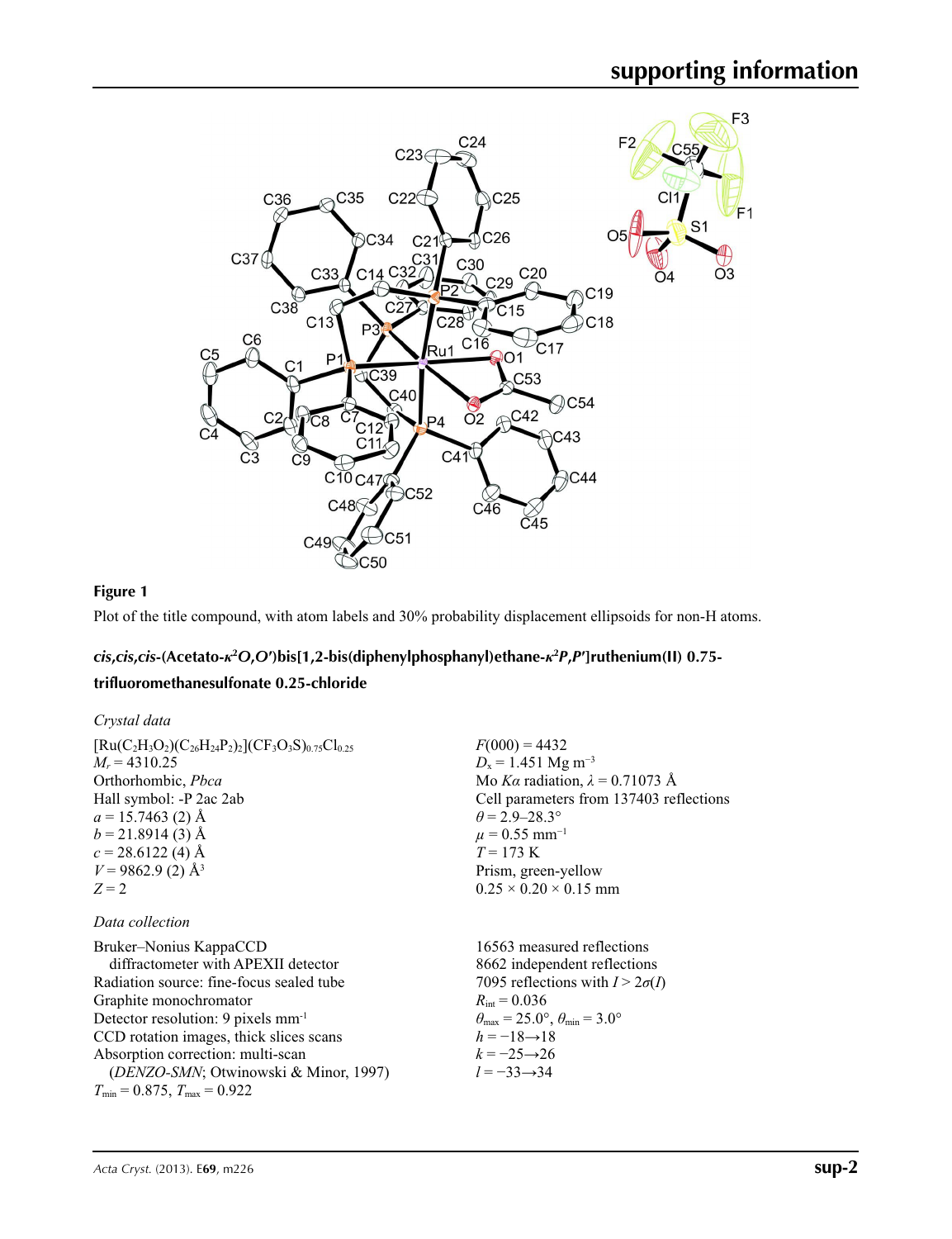

### **Figure 1**

Plot of the title compound, with atom labels and 30% probability displacement ellipsoids for non-H atoms.

## cis, cis, cis-(Acetato-k<sup>2</sup>O,O')bis[1,2-bis(diphenylphosphanyl)ethane-k<sup>2</sup>P,P']ruthenium(II) 0.75-

#### **trifluoromethanesulfonate 0.25-chloride**

| Crystal data                                                                                                                                                                                                                                                                                                                                             |                                                                                                                                                                                                                                                                                                 |
|----------------------------------------------------------------------------------------------------------------------------------------------------------------------------------------------------------------------------------------------------------------------------------------------------------------------------------------------------------|-------------------------------------------------------------------------------------------------------------------------------------------------------------------------------------------------------------------------------------------------------------------------------------------------|
| $[Ru(C_2H_3O_2)(C_{26}H_{24}P_2)_2](CF_3O_3S)_{0.75}Cl_{0.25}$<br>$M_r = 4310.25$<br>Orthorhombic, Pbca<br>Hall symbol: -P 2ac 2ab<br>$a = 15.7463$ (2) Å<br>$b = 21.8914(3)$ Å<br>$c = 28.6122(4)$ Å<br>$V = 9862.9$ (2) Å <sup>3</sup><br>$Z = 2$                                                                                                      | $F(000) = 4432$<br>$D_x = 1.451$ Mg m <sup>-3</sup><br>Mo Ka radiation, $\lambda = 0.71073$ Å<br>Cell parameters from 137403 reflections<br>$\theta$ = 2.9–28.3°<br>$\mu = 0.55$ mm <sup>-1</sup><br>$T = 173 \text{ K}$<br>Prism, green-yellow<br>$0.25 \times 0.20 \times 0.15$ mm            |
| Data collection                                                                                                                                                                                                                                                                                                                                          |                                                                                                                                                                                                                                                                                                 |
| Bruker–Nonius KappaCCD<br>diffractometer with APEXII detector<br>Radiation source: fine-focus sealed tube<br>Graphite monochromator<br>Detector resolution: 9 pixels mm <sup>-1</sup><br>CCD rotation images, thick slices scans<br>Absorption correction: multi-scan<br>(DENZO-SMN; Otwinowski & Minor, 1997)<br>$T_{\min}$ = 0.875, $T_{\max}$ = 0.922 | 16563 measured reflections<br>8662 independent reflections<br>7095 reflections with $I > 2\sigma(I)$<br>$R_{\text{int}} = 0.036$<br>$\theta_{\text{max}} = 25.0^{\circ}, \theta_{\text{min}} = 3.0^{\circ}$<br>$h = -18 \rightarrow 18$<br>$k = -25 \rightarrow 26$<br>$l = -33 \rightarrow 34$ |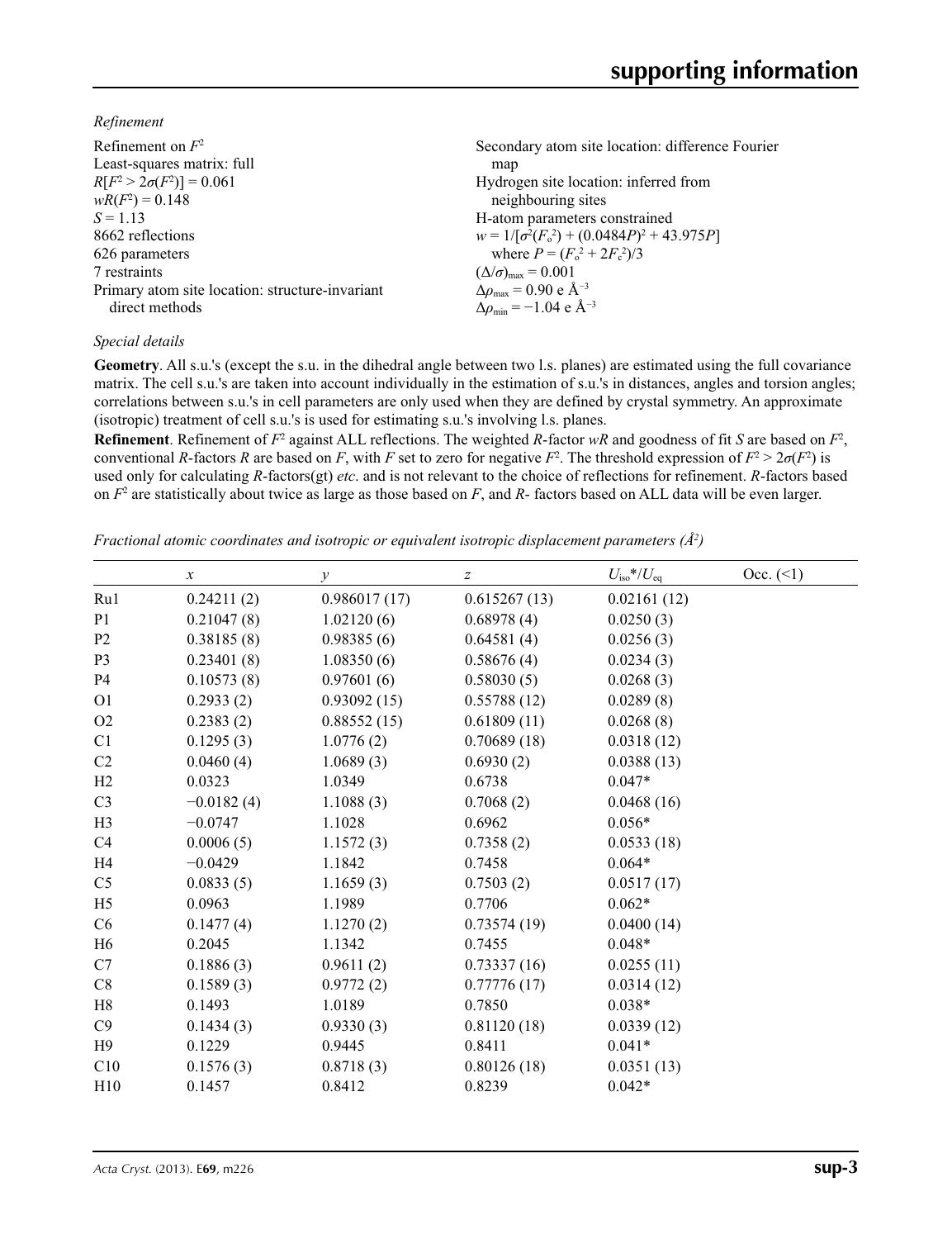*Refinement*

| Refinement on $F^2$                             | Secondary atom site location: difference Fourier   |
|-------------------------------------------------|----------------------------------------------------|
| Least-squares matrix: full                      | map                                                |
| $R[F^2 > 2\sigma(F^2)] = 0.061$                 | Hydrogen site location: inferred from              |
| $wR(F^2) = 0.148$                               | neighbouring sites                                 |
| $S = 1.13$                                      | H-atom parameters constrained                      |
| 8662 reflections                                | $w = 1/[\sigma^2(F_0^2) + (0.0484P)^2 + 43.975P]$  |
| 626 parameters                                  | where $P = (F_0^2 + 2F_c^2)/3$                     |
| 7 restraints                                    | $(\Delta/\sigma)_{\text{max}} = 0.001$             |
| Primary atom site location: structure-invariant | $\Delta\rho_{\text{max}}$ = 0.90 e Å <sup>-3</sup> |
| direct methods                                  | $\Delta \rho_{\rm min} = -1.04 \text{ e A}^{-3}$   |
|                                                 |                                                    |

#### *Special details*

**Geometry**. All s.u.'s (except the s.u. in the dihedral angle between two l.s. planes) are estimated using the full covariance matrix. The cell s.u.'s are taken into account individually in the estimation of s.u.'s in distances, angles and torsion angles; correlations between s.u.'s in cell parameters are only used when they are defined by crystal symmetry. An approximate (isotropic) treatment of cell s.u.'s is used for estimating s.u.'s involving l.s. planes.

**Refinement**. Refinement of  $F^2$  against ALL reflections. The weighted  $R$ -factor  $wR$  and goodness of fit  $S$  are based on  $F^2$ , conventional *R*-factors *R* are based on *F*, with *F* set to zero for negative *F*<sup>2</sup>. The threshold expression of  $F^2 > 2\sigma(F^2)$  is used only for calculating *R*-factors(gt) *etc*. and is not relevant to the choice of reflections for refinement. *R*-factors based on *F*<sup>2</sup> are statistically about twice as large as those based on *F*, and *R*- factors based on ALL data will be even larger.

*Fractional atomic coordinates and isotropic or equivalent isotropic displacement parameters (Å2 )*

|                | $\boldsymbol{x}$ | у            | $\boldsymbol{Z}$ | $U_{\rm iso}$ */ $U_{\rm eq}$ | Occ. (2) |
|----------------|------------------|--------------|------------------|-------------------------------|----------|
| Ru1            | 0.24211(2)       | 0.986017(17) | 0.615267(13)     | 0.02161(12)                   |          |
| P <sub>1</sub> | 0.21047(8)       | 1.02120(6)   | 0.68978(4)       | 0.0250(3)                     |          |
| P <sub>2</sub> | 0.38185(8)       | 0.98385(6)   | 0.64581(4)       | 0.0256(3)                     |          |
| P <sub>3</sub> | 0.23401(8)       | 1.08350(6)   | 0.58676(4)       | 0.0234(3)                     |          |
| <b>P4</b>      | 0.10573(8)       | 0.97601(6)   | 0.58030(5)       | 0.0268(3)                     |          |
| O <sub>1</sub> | 0.2933(2)        | 0.93092(15)  | 0.55788(12)      | 0.0289(8)                     |          |
| O2             | 0.2383(2)        | 0.88552(15)  | 0.61809(11)      | 0.0268(8)                     |          |
| C <sub>1</sub> | 0.1295(3)        | 1.0776(2)    | 0.70689(18)      | 0.0318(12)                    |          |
| C <sub>2</sub> | 0.0460(4)        | 1.0689(3)    | 0.6930(2)        | 0.0388(13)                    |          |
| H2             | 0.0323           | 1.0349       | 0.6738           | $0.047*$                      |          |
| C <sub>3</sub> | $-0.0182(4)$     | 1.1088(3)    | 0.7068(2)        | 0.0468(16)                    |          |
| H <sub>3</sub> | $-0.0747$        | 1.1028       | 0.6962           | $0.056*$                      |          |
| C4             | 0.0006(5)        | 1.1572(3)    | 0.7358(2)        | 0.0533(18)                    |          |
| H <sub>4</sub> | $-0.0429$        | 1.1842       | 0.7458           | $0.064*$                      |          |
| C <sub>5</sub> | 0.0833(5)        | 1.1659(3)    | 0.7503(2)        | 0.0517(17)                    |          |
| H <sub>5</sub> | 0.0963           | 1.1989       | 0.7706           | $0.062*$                      |          |
| C <sub>6</sub> | 0.1477(4)        | 1.1270(2)    | 0.73574(19)      | 0.0400(14)                    |          |
| H <sub>6</sub> | 0.2045           | 1.1342       | 0.7455           | $0.048*$                      |          |
| C7             | 0.1886(3)        | 0.9611(2)    | 0.73337(16)      | 0.0255(11)                    |          |
| C8             | 0.1589(3)        | 0.9772(2)    | 0.77776(17)      | 0.0314(12)                    |          |
| H8             | 0.1493           | 1.0189       | 0.7850           | $0.038*$                      |          |
| C9             | 0.1434(3)        | 0.9330(3)    | 0.81120(18)      | 0.0339(12)                    |          |
| H9             | 0.1229           | 0.9445       | 0.8411           | $0.041*$                      |          |
| C10            | 0.1576(3)        | 0.8718(3)    | 0.80126(18)      | 0.0351(13)                    |          |
| H10            | 0.1457           | 0.8412       | 0.8239           | $0.042*$                      |          |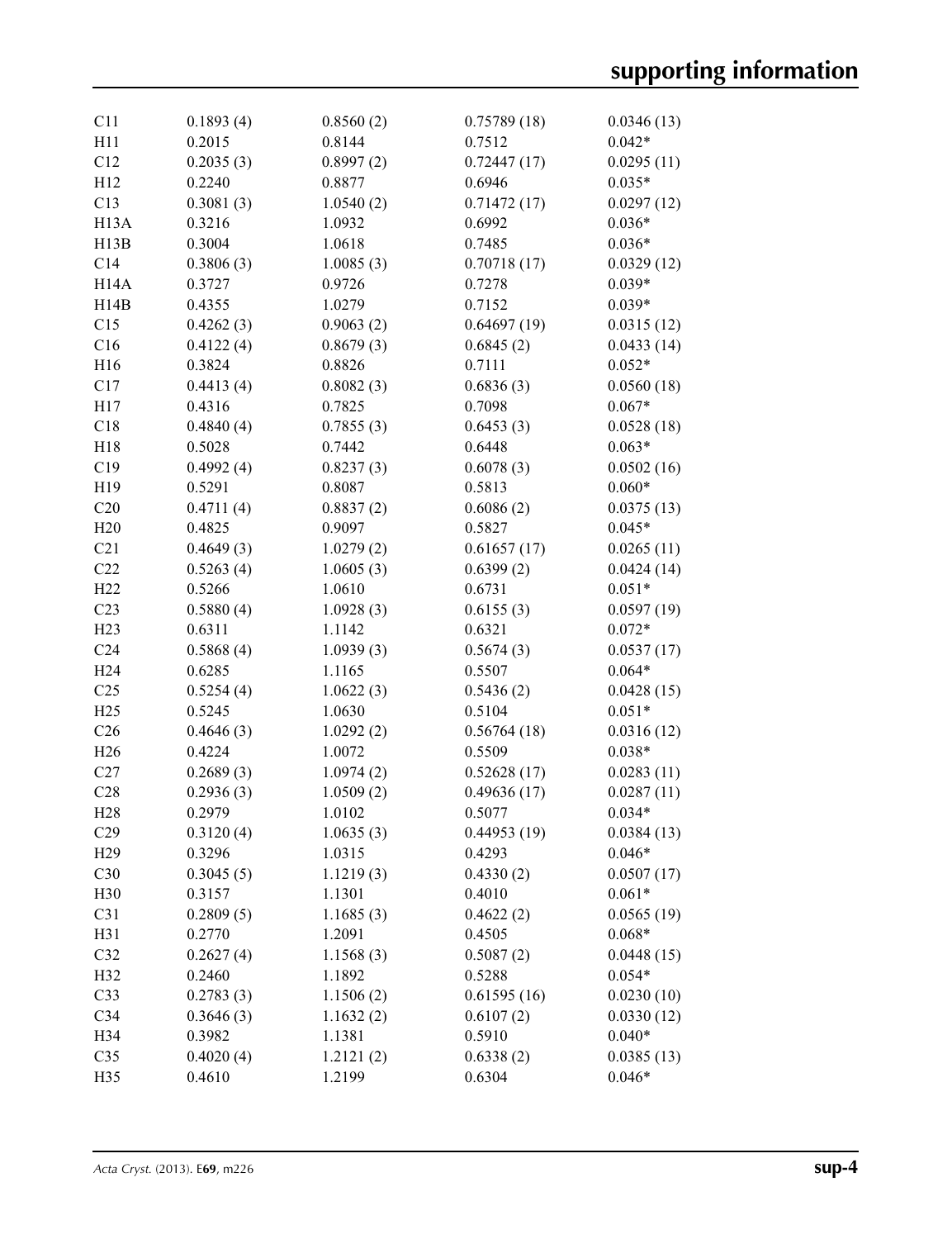| C11               | 0.1893(4) | 0.8560(2) | 0.75789(18) | 0.0346(13) |
|-------------------|-----------|-----------|-------------|------------|
| H11               | 0.2015    | 0.8144    | 0.7512      | $0.042*$   |
| C12               | 0.2035(3) | 0.8997(2) | 0.72447(17) | 0.0295(11) |
| H12               | 0.2240    | 0.8877    | 0.6946      | $0.035*$   |
| C13               | 0.3081(3) | 1.0540(2) | 0.71472(17) | 0.0297(12) |
| H <sub>13</sub> A | 0.3216    | 1.0932    | 0.6992      | $0.036*$   |
| H13B              | 0.3004    | 1.0618    | 0.7485      | $0.036*$   |
| C14               | 0.3806(3) | 1.0085(3) | 0.70718(17) | 0.0329(12) |
| H <sub>14</sub> A | 0.3727    | 0.9726    | 0.7278      | $0.039*$   |
| H14B              | 0.4355    | 1.0279    | 0.7152      | $0.039*$   |
| C15               | 0.4262(3) | 0.9063(2) | 0.64697(19) | 0.0315(12) |
| C16               | 0.4122(4) | 0.8679(3) | 0.6845(2)   | 0.0433(14) |
| H <sub>16</sub>   | 0.3824    | 0.8826    | 0.7111      | $0.052*$   |
| C17               | 0.4413(4) | 0.8082(3) | 0.6836(3)   | 0.0560(18) |
| H17               | 0.4316    | 0.7825    | 0.7098      | $0.067*$   |
| C18               | 0.4840(4) | 0.7855(3) | 0.6453(3)   | 0.0528(18) |
| H18               | 0.5028    | 0.7442    | 0.6448      | $0.063*$   |
| C19               | 0.4992(4) | 0.8237(3) | 0.6078(3)   | 0.0502(16) |
| H19               | 0.5291    | 0.8087    | 0.5813      | $0.060*$   |
| C20               | 0.4711(4) | 0.8837(2) | 0.6086(2)   | 0.0375(13) |
| H20               | 0.4825    | 0.9097    | 0.5827      | $0.045*$   |
| C21               | 0.4649(3) | 1.0279(2) | 0.61657(17) | 0.0265(11) |
| C22               | 0.5263(4) | 1.0605(3) | 0.6399(2)   | 0.0424(14) |
| H22               | 0.5266    | 1.0610    | 0.6731      | $0.051*$   |
| C <sub>23</sub>   |           |           |             |            |
|                   | 0.5880(4) | 1.0928(3) | 0.6155(3)   | 0.0597(19) |
| H23               | 0.6311    | 1.1142    | 0.6321      | $0.072*$   |
| C <sub>24</sub>   | 0.5868(4) | 1.0939(3) | 0.5674(3)   | 0.0537(17) |
| H <sub>24</sub>   | 0.6285    | 1.1165    | 0.5507      | $0.064*$   |
| C <sub>25</sub>   | 0.5254(4) | 1.0622(3) | 0.5436(2)   | 0.0428(15) |
| H25               | 0.5245    | 1.0630    | 0.5104      | $0.051*$   |
| C <sub>26</sub>   | 0.4646(3) | 1.0292(2) | 0.56764(18) | 0.0316(12) |
| H <sub>26</sub>   | 0.4224    | 1.0072    | 0.5509      | $0.038*$   |
| C27               | 0.2689(3) | 1.0974(2) | 0.52628(17) | 0.0283(11) |
| C28               | 0.2936(3) | 1.0509(2) | 0.49636(17) | 0.0287(11) |
| H <sub>28</sub>   | 0.2979    | 1.0102    | 0.5077      | $0.034*$   |
| C29               | 0.3120(4) | 1.0635(3) | 0.44953(19) | 0.0384(13) |
| H29               | 0.3296    | 1.0315    | 0.4293      | $0.046*$   |
| C30               | 0.3045(5) | 1.1219(3) | 0.4330(2)   | 0.0507(17) |
| H <sub>30</sub>   | 0.3157    | 1.1301    | 0.4010      | $0.061*$   |
| C31               | 0.2809(5) | 1.1685(3) | 0.4622(2)   | 0.0565(19) |
| H31               | 0.2770    | 1.2091    | 0.4505      | $0.068*$   |
| C32               | 0.2627(4) | 1.1568(3) | 0.5087(2)   | 0.0448(15) |
| H <sub>32</sub>   | 0.2460    | 1.1892    | 0.5288      | $0.054*$   |
| C <sub>33</sub>   | 0.2783(3) | 1.1506(2) | 0.61595(16) | 0.0230(10) |
| C34               | 0.3646(3) | 1.1632(2) | 0.6107(2)   | 0.0330(12) |
| H34               | 0.3982    | 1.1381    | 0.5910      | $0.040*$   |
| C <sub>35</sub>   | 0.4020(4) | 1.2121(2) | 0.6338(2)   | 0.0385(13) |
| H35               | 0.4610    | 1.2199    | 0.6304      | $0.046*$   |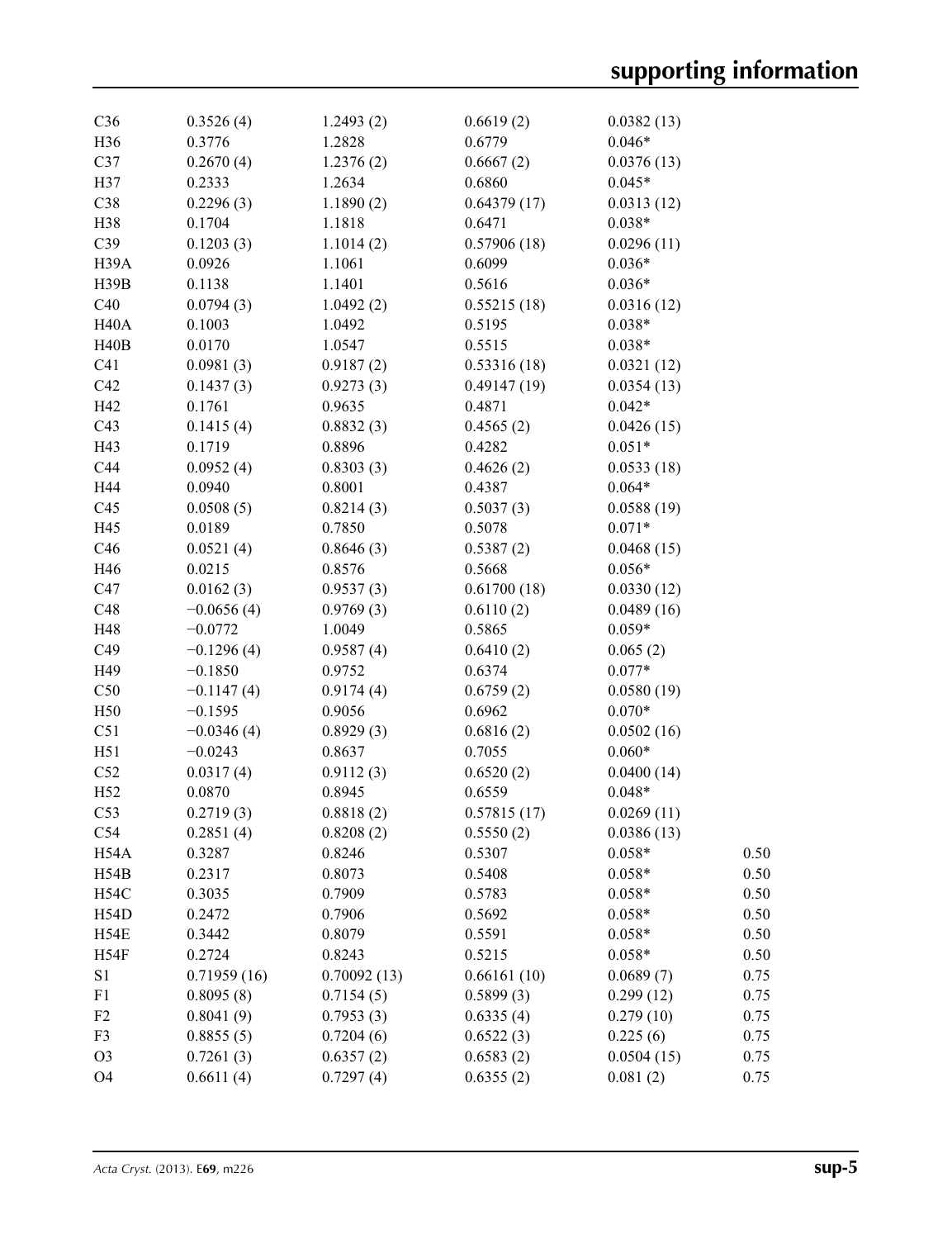| C <sub>36</sub>   | 0.3526(4)    | 1.2493(2)   | 0.6619(2)   | 0.0382(13) |      |
|-------------------|--------------|-------------|-------------|------------|------|
| H <sub>36</sub>   | 0.3776       | 1.2828      | 0.6779      | $0.046*$   |      |
| C37               | 0.2670(4)    | 1.2376(2)   | 0.6667(2)   | 0.0376(13) |      |
| H37               | 0.2333       | 1.2634      | 0.6860      | $0.045*$   |      |
| C38               | 0.2296(3)    | 1.1890(2)   | 0.64379(17) | 0.0313(12) |      |
| H38               | 0.1704       | 1.1818      | 0.6471      | $0.038*$   |      |
| C39               | 0.1203(3)    | 1.1014(2)   | 0.57906(18) | 0.0296(11) |      |
| H <sub>39</sub> A | 0.0926       | 1.1061      | 0.6099      | $0.036*$   |      |
| H39B              | 0.1138       | 1.1401      | 0.5616      | $0.036*$   |      |
| C40               | 0.0794(3)    | 1.0492(2)   | 0.55215(18) | 0.0316(12) |      |
| H <sub>40</sub> A | 0.1003       | 1.0492      | 0.5195      | $0.038*$   |      |
| H40B              | 0.0170       | 1.0547      | 0.5515      | $0.038*$   |      |
| C <sub>41</sub>   | 0.0981(3)    | 0.9187(2)   | 0.53316(18) | 0.0321(12) |      |
| C42               | 0.1437(3)    | 0.9273(3)   | 0.49147(19) | 0.0354(13) |      |
| H42               | 0.1761       | 0.9635      | 0.4871      | $0.042*$   |      |
| C43               | 0.1415(4)    | 0.8832(3)   | 0.4565(2)   | 0.0426(15) |      |
| H43               | 0.1719       | 0.8896      | 0.4282      | $0.051*$   |      |
| C44               | 0.0952(4)    | 0.8303(3)   | 0.4626(2)   | 0.0533(18) |      |
| H44               | 0.0940       | 0.8001      | 0.4387      | $0.064*$   |      |
| C <sub>45</sub>   | 0.0508(5)    | 0.8214(3)   | 0.5037(3)   | 0.0588(19) |      |
| H45               | 0.0189       | 0.7850      | 0.5078      | $0.071*$   |      |
| C46               | 0.0521(4)    | 0.8646(3)   | 0.5387(2)   | 0.0468(15) |      |
| H46               | 0.0215       | 0.8576      | 0.5668      | $0.056*$   |      |
| C47               | 0.0162(3)    | 0.9537(3)   | 0.61700(18) | 0.0330(12) |      |
| C48               | $-0.0656(4)$ | 0.9769(3)   | 0.6110(2)   | 0.0489(16) |      |
| H48               | $-0.0772$    | 1.0049      | 0.5865      | $0.059*$   |      |
| C49               | $-0.1296(4)$ | 0.9587(4)   | 0.6410(2)   | 0.065(2)   |      |
| H49               | $-0.1850$    | 0.9752      | 0.6374      | $0.077*$   |      |
| C50               | $-0.1147(4)$ | 0.9174(4)   | 0.6759(2)   | 0.0580(19) |      |
| H50               | $-0.1595$    | 0.9056      | 0.6962      | $0.070*$   |      |
| C51               | $-0.0346(4)$ | 0.8929(3)   | 0.6816(2)   | 0.0502(16) |      |
| H51               | $-0.0243$    | 0.8637      | 0.7055      | $0.060*$   |      |
| C52               | 0.0317(4)    | 0.9112(3)   | 0.6520(2)   | 0.0400(14) |      |
| H <sub>52</sub>   | 0.0870       | 0.8945      | 0.6559      | $0.048*$   |      |
| C53               | 0.2719(3)    | 0.8818(2)   | 0.57815(17) | 0.0269(11) |      |
| C54               | 0.2851(4)    | 0.8208(2)   | 0.5550(2)   | 0.0386(13) |      |
| H54A              | 0.3287       | 0.8246      | 0.5307      | $0.058*$   | 0.50 |
| H54B              | 0.2317       | 0.8073      | 0.5408      | $0.058*$   | 0.50 |
| <b>H54C</b>       | 0.3035       | 0.7909      | 0.5783      | $0.058*$   | 0.50 |
| H54D              | 0.2472       | 0.7906      | 0.5692      | $0.058*$   | 0.50 |
| H54E              | 0.3442       | 0.8079      | 0.5591      | $0.058*$   | 0.50 |
| H54F              | 0.2724       | 0.8243      | 0.5215      | $0.058*$   | 0.50 |
| S1                | 0.71959(16)  | 0.70092(13) | 0.66161(10) | 0.0689(7)  | 0.75 |
| F1                | 0.8095(8)    | 0.7154(5)   | 0.5899(3)   | 0.299(12)  | 0.75 |
| F <sub>2</sub>    | 0.8041(9)    | 0.7953(3)   | 0.6335(4)   | 0.279(10)  | 0.75 |
| F3                | 0.8855(5)    | 0.7204(6)   | 0.6522(3)   | 0.225(6)   | 0.75 |
| O <sub>3</sub>    | 0.7261(3)    | 0.6357(2)   | 0.6583(2)   | 0.0504(15) | 0.75 |
| O <sub>4</sub>    | 0.6611(4)    | 0.7297(4)   | 0.6355(2)   | 0.081(2)   | 0.75 |
|                   |              |             |             |            |      |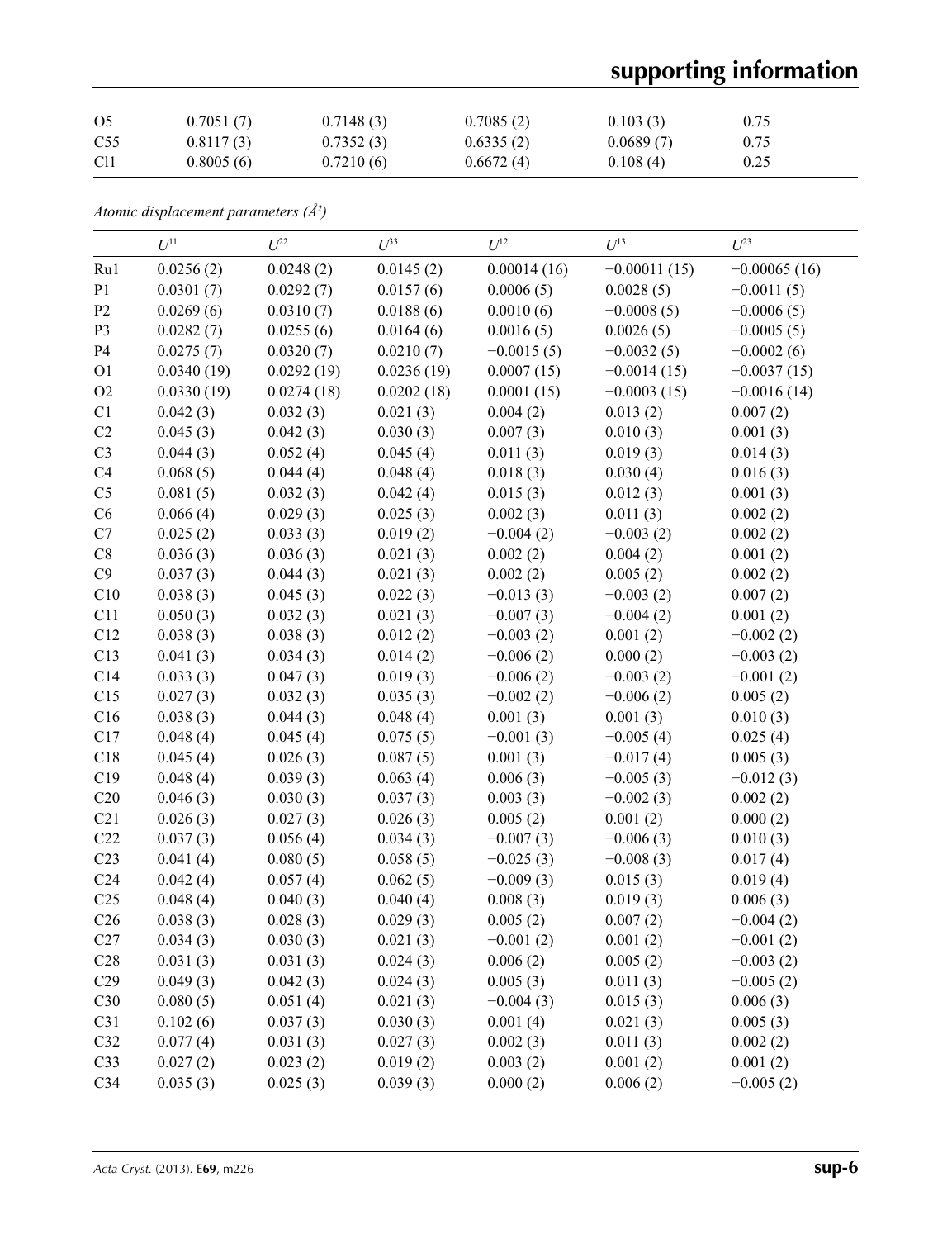# **supporting information**

| O <sub>5</sub>  | 0.7051(7) | 0.7148(3) | 0.7085(2) | 0.103(3)  | 0.75 |
|-----------------|-----------|-----------|-----------|-----------|------|
| C <sub>55</sub> | 0.8117(3) | 0.7352(3) | 0.6335(2) | 0.0689(7) | 0.75 |
| C11             | 0.8005(6) | 0.7210(6) | 0.6672(4) | 0.108(4)  | 0.25 |

*Atomic displacement parameters (Å2 )*

|                 | $U^{11}$   | $U^{22}$   | $U^{33}$   | $U^{12}$     | $U^{13}$       | $U^{23}$       |
|-----------------|------------|------------|------------|--------------|----------------|----------------|
| Ru1             | 0.0256(2)  | 0.0248(2)  | 0.0145(2)  | 0.00014(16)  | $-0.00011(15)$ | $-0.00065(16)$ |
| P1              | 0.0301(7)  | 0.0292(7)  | 0.0157(6)  | 0.0006(5)    | 0.0028(5)      | $-0.0011(5)$   |
| P2              | 0.0269(6)  | 0.0310(7)  | 0.0188(6)  | 0.0010(6)    | $-0.0008(5)$   | $-0.0006(5)$   |
| P3              | 0.0282(7)  | 0.0255(6)  | 0.0164(6)  | 0.0016(5)    | 0.0026(5)      | $-0.0005(5)$   |
| P <sub>4</sub>  | 0.0275(7)  | 0.0320(7)  | 0.0210(7)  | $-0.0015(5)$ | $-0.0032(5)$   | $-0.0002(6)$   |
| O <sub>1</sub>  | 0.0340(19) | 0.0292(19) | 0.0236(19) | 0.0007(15)   | $-0.0014(15)$  | $-0.0037(15)$  |
| O2              | 0.0330(19) | 0.0274(18) | 0.0202(18) | 0.0001(15)   | $-0.0003(15)$  | $-0.0016(14)$  |
| C1              | 0.042(3)   | 0.032(3)   | 0.021(3)   | 0.004(2)     | 0.013(2)       | 0.007(2)       |
| C2              | 0.045(3)   | 0.042(3)   | 0.030(3)   | 0.007(3)     | 0.010(3)       | 0.001(3)       |
| C <sub>3</sub>  | 0.044(3)   | 0.052(4)   | 0.045(4)   | 0.011(3)     | 0.019(3)       | 0.014(3)       |
| C4              | 0.068(5)   | 0.044(4)   | 0.048(4)   | 0.018(3)     | 0.030(4)       | 0.016(3)       |
| C <sub>5</sub>  | 0.081(5)   | 0.032(3)   | 0.042(4)   | 0.015(3)     | 0.012(3)       | 0.001(3)       |
| C6              | 0.066(4)   | 0.029(3)   | 0.025(3)   | 0.002(3)     | 0.011(3)       | 0.002(2)       |
| C7              | 0.025(2)   | 0.033(3)   | 0.019(2)   | $-0.004(2)$  | $-0.003(2)$    | 0.002(2)       |
| $\rm{C}8$       | 0.036(3)   | 0.036(3)   | 0.021(3)   | 0.002(2)     | 0.004(2)       | 0.001(2)       |
| C9              | 0.037(3)   | 0.044(3)   | 0.021(3)   | 0.002(2)     | 0.005(2)       | 0.002(2)       |
| C10             | 0.038(3)   | 0.045(3)   | 0.022(3)   | $-0.013(3)$  | $-0.003(2)$    | 0.007(2)       |
| C11             | 0.050(3)   | 0.032(3)   | 0.021(3)   | $-0.007(3)$  | $-0.004(2)$    | 0.001(2)       |
| C12             | 0.038(3)   | 0.038(3)   | 0.012(2)   | $-0.003(2)$  | 0.001(2)       | $-0.002(2)$    |
| C13             | 0.041(3)   | 0.034(3)   | 0.014(2)   | $-0.006(2)$  | 0.000(2)       | $-0.003(2)$    |
| C14             | 0.033(3)   | 0.047(3)   | 0.019(3)   | $-0.006(2)$  | $-0.003(2)$    | $-0.001(2)$    |
| C15             | 0.027(3)   | 0.032(3)   | 0.035(3)   | $-0.002(2)$  | $-0.006(2)$    | 0.005(2)       |
| C16             | 0.038(3)   | 0.044(3)   | 0.048(4)   | 0.001(3)     | 0.001(3)       | 0.010(3)       |
| C17             | 0.048(4)   | 0.045(4)   | 0.075(5)   | $-0.001(3)$  | $-0.005(4)$    | 0.025(4)       |
| C18             | 0.045(4)   | 0.026(3)   | 0.087(5)   | 0.001(3)     | $-0.017(4)$    | 0.005(3)       |
| C19             | 0.048(4)   | 0.039(3)   | 0.063(4)   | 0.006(3)     | $-0.005(3)$    | $-0.012(3)$    |
| C20             | 0.046(3)   | 0.030(3)   | 0.037(3)   | 0.003(3)     | $-0.002(3)$    | 0.002(2)       |
| C21             | 0.026(3)   | 0.027(3)   | 0.026(3)   | 0.005(2)     | 0.001(2)       | 0.000(2)       |
| C22             | 0.037(3)   | 0.056(4)   | 0.034(3)   | $-0.007(3)$  | $-0.006(3)$    | 0.010(3)       |
| C <sub>23</sub> | 0.041(4)   | 0.080(5)   | 0.058(5)   | $-0.025(3)$  | $-0.008(3)$    | 0.017(4)       |
| C <sub>24</sub> | 0.042(4)   | 0.057(4)   | 0.062(5)   | $-0.009(3)$  | 0.015(3)       | 0.019(4)       |
| C <sub>25</sub> | 0.048(4)   | 0.040(3)   | 0.040(4)   | 0.008(3)     | 0.019(3)       | 0.006(3)       |
| C <sub>26</sub> | 0.038(3)   | 0.028(3)   | 0.029(3)   | 0.005(2)     | 0.007(2)       | $-0.004(2)$    |
| C27             | 0.034(3)   | 0.030(3)   | 0.021(3)   | $-0.001(2)$  | 0.001(2)       | $-0.001(2)$    |
| C28             | 0.031(3)   | 0.031(3)   | 0.024(3)   | 0.006(2)     | 0.005(2)       | $-0.003(2)$    |
| C29             | 0.049(3)   | 0.042(3)   | 0.024(3)   | 0.005(3)     | 0.011(3)       | $-0.005(2)$    |
| C30             | 0.080(5)   | 0.051(4)   | 0.021(3)   | $-0.004(3)$  | 0.015(3)       | 0.006(3)       |
| C31             | 0.102(6)   | 0.037(3)   | 0.030(3)   | 0.001(4)     | 0.021(3)       | 0.005(3)       |
| C32             | 0.077(4)   | 0.031(3)   | 0.027(3)   | 0.002(3)     | 0.011(3)       | 0.002(2)       |
| C33             | 0.027(2)   | 0.023(2)   | 0.019(2)   | 0.003(2)     | 0.001(2)       | 0.001(2)       |
| C34             | 0.035(3)   | 0.025(3)   | 0.039(3)   | 0.000(2)     | 0.006(2)       | $-0.005(2)$    |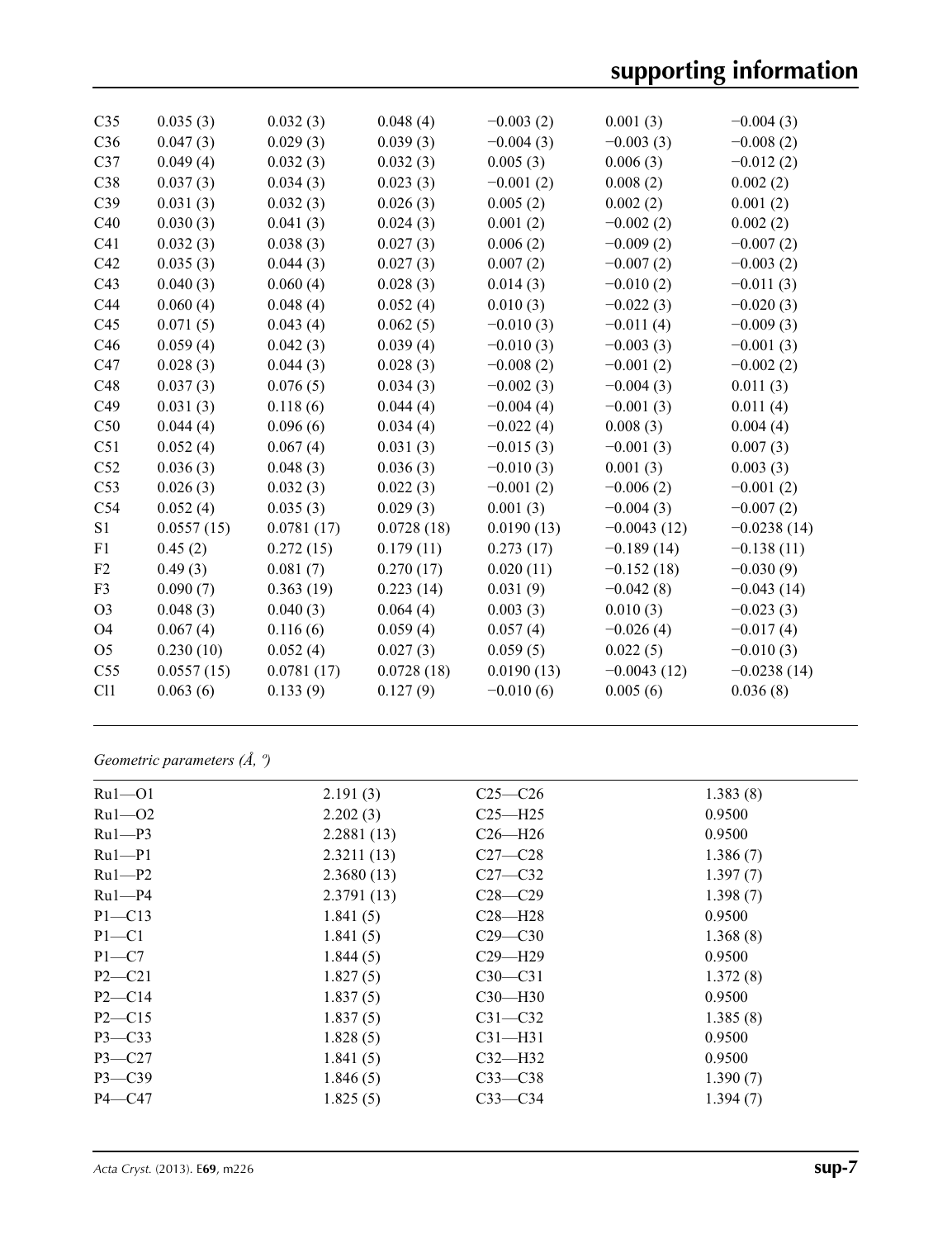| C <sub>35</sub> | 0.035(3)   | 0.032(3)   | 0.048(4)   | $-0.003(2)$ | 0.001(3)      | $-0.004(3)$   |
|-----------------|------------|------------|------------|-------------|---------------|---------------|
| C <sub>36</sub> | 0.047(3)   | 0.029(3)   | 0.039(3)   | $-0.004(3)$ | $-0.003(3)$   | $-0.008(2)$   |
| C37             | 0.049(4)   | 0.032(3)   | 0.032(3)   | 0.005(3)    | 0.006(3)      | $-0.012(2)$   |
| C38             | 0.037(3)   | 0.034(3)   | 0.023(3)   | $-0.001(2)$ | 0.008(2)      | 0.002(2)      |
| C39             | 0.031(3)   | 0.032(3)   | 0.026(3)   | 0.005(2)    | 0.002(2)      | 0.001(2)      |
| C40             | 0.030(3)   | 0.041(3)   | 0.024(3)   | 0.001(2)    | $-0.002(2)$   | 0.002(2)      |
| C <sub>41</sub> | 0.032(3)   | 0.038(3)   | 0.027(3)   | 0.006(2)    | $-0.009(2)$   | $-0.007(2)$   |
| C42             | 0.035(3)   | 0.044(3)   | 0.027(3)   | 0.007(2)    | $-0.007(2)$   | $-0.003(2)$   |
| C43             | 0.040(3)   | 0.060(4)   | 0.028(3)   | 0.014(3)    | $-0.010(2)$   | $-0.011(3)$   |
| C44             | 0.060(4)   | 0.048(4)   | 0.052(4)   | 0.010(3)    | $-0.022(3)$   | $-0.020(3)$   |
| C45             | 0.071(5)   | 0.043(4)   | 0.062(5)   | $-0.010(3)$ | $-0.011(4)$   | $-0.009(3)$   |
| C46             | 0.059(4)   | 0.042(3)   | 0.039(4)   | $-0.010(3)$ | $-0.003(3)$   | $-0.001(3)$   |
| C47             | 0.028(3)   | 0.044(3)   | 0.028(3)   | $-0.008(2)$ | $-0.001(2)$   | $-0.002(2)$   |
| C48             | 0.037(3)   | 0.076(5)   | 0.034(3)   | $-0.002(3)$ | $-0.004(3)$   | 0.011(3)      |
| C49             | 0.031(3)   | 0.118(6)   | 0.044(4)   | $-0.004(4)$ | $-0.001(3)$   | 0.011(4)      |
| C50             | 0.044(4)   | 0.096(6)   | 0.034(4)   | $-0.022(4)$ | 0.008(3)      | 0.004(4)      |
| C51             | 0.052(4)   | 0.067(4)   | 0.031(3)   | $-0.015(3)$ | $-0.001(3)$   | 0.007(3)      |
| C52             | 0.036(3)   | 0.048(3)   | 0.036(3)   | $-0.010(3)$ | 0.001(3)      | 0.003(3)      |
| C53             | 0.026(3)   | 0.032(3)   | 0.022(3)   | $-0.001(2)$ | $-0.006(2)$   | $-0.001(2)$   |
| C54             | 0.052(4)   | 0.035(3)   | 0.029(3)   | 0.001(3)    | $-0.004(3)$   | $-0.007(2)$   |
| S <sub>1</sub>  | 0.0557(15) | 0.0781(17) | 0.0728(18) | 0.0190(13)  | $-0.0043(12)$ | $-0.0238(14)$ |
| F1              | 0.45(2)    | 0.272(15)  | 0.179(11)  | 0.273(17)   | $-0.189(14)$  | $-0.138(11)$  |
| F2              | 0.49(3)    | 0.081(7)   | 0.270(17)  | 0.020(11)   | $-0.152(18)$  | $-0.030(9)$   |
| F <sub>3</sub>  | 0.090(7)   | 0.363(19)  | 0.223(14)  | 0.031(9)    | $-0.042(8)$   | $-0.043(14)$  |
| O <sub>3</sub>  | 0.048(3)   | 0.040(3)   | 0.064(4)   | 0.003(3)    | 0.010(3)      | $-0.023(3)$   |
| O4              | 0.067(4)   | 0.116(6)   | 0.059(4)   | 0.057(4)    | $-0.026(4)$   | $-0.017(4)$   |
| O <sub>5</sub>  | 0.230(10)  | 0.052(4)   | 0.027(3)   | 0.059(5)    | 0.022(5)      | $-0.010(3)$   |
| C <sub>55</sub> | 0.0557(15) | 0.0781(17) | 0.0728(18) | 0.0190(13)  | $-0.0043(12)$ | $-0.0238(14)$ |
| C11             | 0.063(6)   | 0.133(9)   | 0.127(9)   | $-0.010(6)$ | 0.005(6)      | 0.036(8)      |
|                 |            |            |            |             |               |               |

*Geometric parameters (Å, º)*

| $Ru1 - O1$ | 2.191(3)   | $C25-C26$   | 1.383(8) |
|------------|------------|-------------|----------|
| $Ru1 - O2$ | 2.202(3)   | $C25 - H25$ | 0.9500   |
| $Ru1-P3$   | 2.2881(13) | $C26 - H26$ | 0.9500   |
| $Ru1-P1$   | 2.3211(13) | $C27-C28$   | 1.386(7) |
| $Ru1-P2$   | 2.3680(13) | $C27 - C32$ | 1.397(7) |
| $Ru1-P4$   | 2.3791(13) | $C28 - C29$ | 1.398(7) |
| $P1 - C13$ | 1.841(5)   | $C28 - H28$ | 0.9500   |
| $P1 - C1$  | 1.841(5)   | $C29 - C30$ | 1.368(8) |
| $P1 - C7$  | 1.844(5)   | $C29 - H29$ | 0.9500   |
| $P2 - C21$ | 1.827(5)   | $C30-C31$   | 1.372(8) |
| $P2 - C14$ | 1.837(5)   | $C30-H30$   | 0.9500   |
| $P2 - C15$ | 1.837(5)   | $C31 - C32$ | 1.385(8) |
| $P3 - C33$ | 1.828(5)   | $C31 - H31$ | 0.9500   |
| $P3 - C27$ | 1.841(5)   | $C32-H32$   | 0.9500   |
| $P3 - C39$ | 1.846(5)   | $C33 - C38$ | 1.390(7) |
| $P4 - C47$ | 1.825(5)   | $C33-C34$   | 1.394(7) |
|            |            |             |          |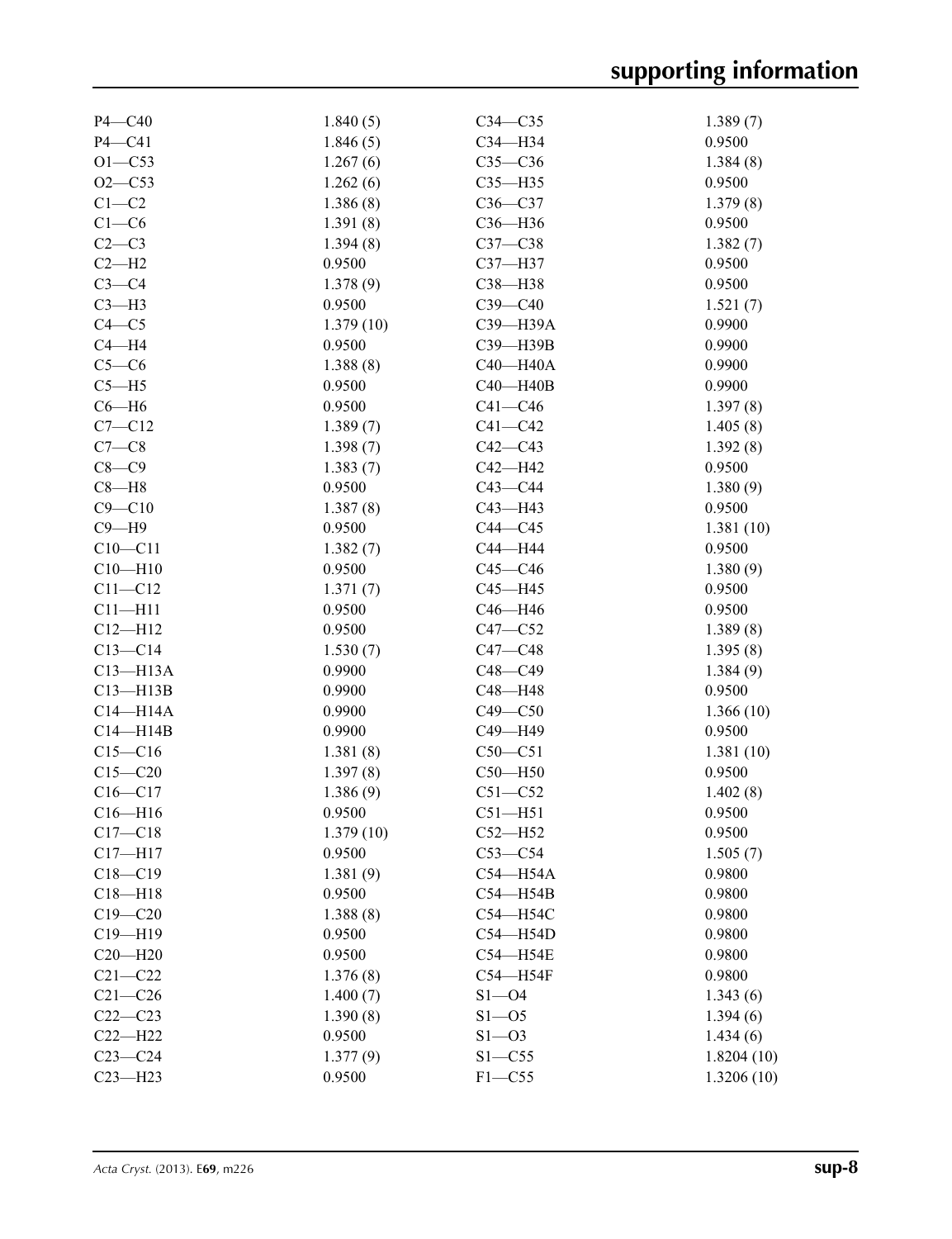| $P4 - C40$   | 1.840(5)           | $C34 - C35$  | 1.389(7)   |
|--------------|--------------------|--------------|------------|
| $P4 - C41$   | 1.846(5)           | $C34 - H34$  | 0.9500     |
| $O1 - C53$   | 1.267(6)           | $C35-C36$    | 1.384(8)   |
| $O2 - C53$   | 1.262(6)           | $C35 - H35$  | 0.9500     |
| $C1-C2$      | 1.386(8)           | $C36-C37$    | 1.379(8)   |
| $C1-C6$      | 1.391(8)           | $C36 - H36$  | 0.9500     |
| $C2-C3$      | 1.394(8)           | $C37-C38$    | 1.382(7)   |
| $C2-H2$      | 0.9500             | C37-H37      | 0.9500     |
| $C3-C4$      | 1.378(9)           | C38-H38      | 0.9500     |
| $C3-H3$      | 0.9500             | $C39-C40$    | 1.521(7)   |
| $C4 - C5$    | 1.379(10)          | C39-H39A     | 0.9900     |
| $C4 - H4$    | 0.9500             | C39-H39B     | 0.9900     |
| $C5-C6$      | 1.388(8)           | $C40 - H40A$ | 0.9900     |
| $C5 - H5$    | 0.9500             | $C40 - H40B$ | 0.9900     |
| $C6 - H6$    | 0.9500             | $C41 - C46$  | 1.397(8)   |
| $C7 - C12$   | 1.389(7)           | $C41 - C42$  | 1.405(8)   |
| $C7-C8$      | 1.398(7)           | $C42 - C43$  | 1.392(8)   |
| $C8-C9$      | 1.383(7)           | C42-H42      | 0.9500     |
| $C8 - H8$    | 0.9500             | $C43 - C44$  | 1.380(9)   |
| $C9 - C10$   |                    | C43-H43      | 0.9500     |
| $C9 - H9$    | 1.387(8)<br>0.9500 | $C44 - C45$  |            |
|              |                    |              | 1.381(10)  |
| $C10 - C11$  | 1.382(7)           | C44-H44      | 0.9500     |
| $C10 - H10$  | 0.9500             | $C45 - C46$  | 1.380(9)   |
| $C11 - C12$  | 1.371(7)           | $C45 - H45$  | 0.9500     |
| $C11 - H11$  | 0.9500             | C46-H46      | 0.9500     |
| $C12 - H12$  | 0.9500             | $C47 - C52$  | 1.389(8)   |
| $C13-C14$    | 1.530(7)           | $C47 - C48$  | 1.395(8)   |
| $C13 - H13A$ | 0.9900             | $C48 - C49$  | 1.384(9)   |
| $C13 - H13B$ | 0.9900             | C48-H48      | 0.9500     |
| $C14 - H14A$ | 0.9900             | $C49 - C50$  | 1.366(10)  |
| $C14 - H14B$ | 0.9900             | C49-H49      | 0.9500     |
| $C15 - C16$  | 1.381(8)           | $C50-C51$    | 1.381(10)  |
| $C15 - C20$  | 1.397(8)           | $C50 - H50$  | 0.9500     |
| $C16-C17$    | 1.386(9)           | $C51 - C52$  | 1.402(8)   |
| $C16 - H16$  | 0.9500             | $C51 - H51$  | 0.9500     |
| $C17 - C18$  | 1.379(10)          | $C52 - H52$  | 0.9500     |
| $C17 - H17$  | 0.9500             | $C53-C54$    | 1.505(7)   |
| $C18 - C19$  | 1.381(9)           | $C54 - H54A$ | 0.9800     |
| $C18 - H18$  | 0.9500             | $C54 - H54B$ | 0.9800     |
| $C19 - C20$  | 1.388(8)           | C54-H54C     | 0.9800     |
| $C19 - H19$  | 0.9500             | $C54 - H54D$ | 0.9800     |
| $C20 - H20$  | 0.9500             | C54-H54E     | 0.9800     |
| $C21 - C22$  | 1.376(8)           | $C54 - H54F$ | 0.9800     |
| $C21 - C26$  | 1.400(7)           | $S1 - O4$    | 1.343(6)   |
| $C22-C23$    | 1.390(8)           | $S1 - 05$    | 1.394(6)   |
| $C22 - H22$  | 0.9500             | $S1 - 03$    | 1.434(6)   |
| $C23-C24$    | 1.377(9)           | $S1 - C55$   | 1.8204(10) |
|              | 0.9500             | $F1 - C55$   |            |
| $C23 - H23$  |                    |              | 1.3206(10) |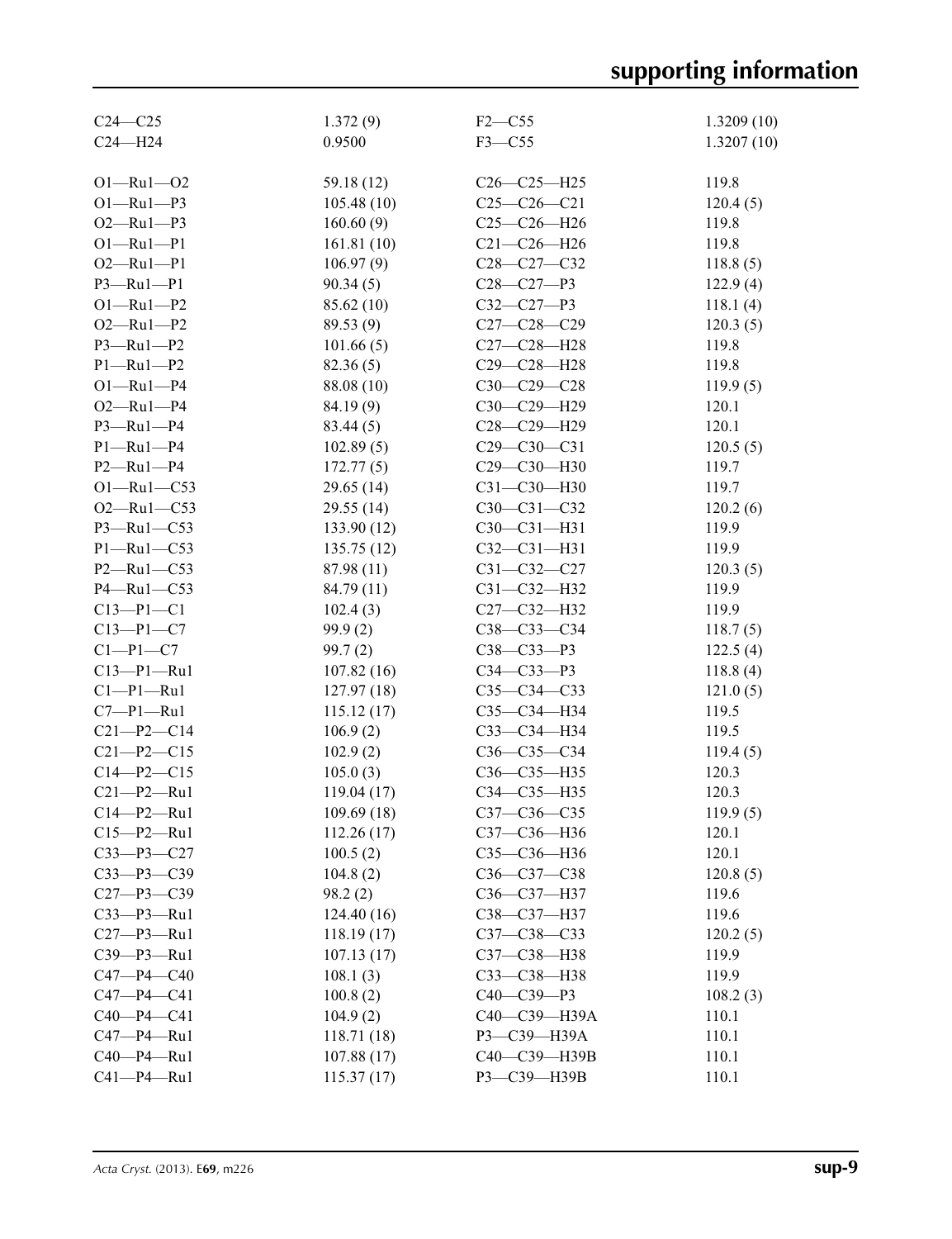| $C24 - C25$      | 1.372(9)   | $F2-C55$          | 1.3209(10) |
|------------------|------------|-------------------|------------|
| $C24 - H24$      | 0.9500     | $F3 - C55$        | 1.3207(10) |
|                  |            |                   |            |
| $O1 - Ru1 - O2$  | 59.18 (12) | $C26 - C25 - H25$ | 119.8      |
| $O1 - Ru1 - P3$  | 105.48(10) | $C25-C26-C21$     | 120.4(5)   |
| $O2 - Ru1 - P3$  | 160.60(9)  | $C25-C26-H26$     |            |
|                  |            |                   | 119.8      |
| $O1 - Ru1 - P1$  | 161.81(10) | $C21 - C26 - H26$ | 119.8      |
| $O2 - Ru1 - P1$  | 106.97(9)  | $C28 - C27 - C32$ | 118.8(5)   |
| $P3 - Ru1 - P1$  | 90.34(5)   | $C28 - C27 - P3$  | 122.9(4)   |
| $O1 - Ru1 - P2$  | 85.62(10)  | $C32 - C27 - P3$  | 118.1(4)   |
| $O2 - Ru1 - P2$  | 89.53(9)   | $C27 - C28 - C29$ | 120.3(5)   |
| $P3 - Ru1 - P2$  | 101.66(5)  | C27-C28-H28       | 119.8      |
| $P1 - Ru1 - P2$  | 82.36(5)   | C29-C28-H28       | 119.8      |
| $O1 - Ru1 - P4$  | 88.08 (10) | $C30-C29-C28$     | 119.9(5)   |
| $O2 - Ru1 - P4$  | 84.19(9)   | C30-C29-H29       | 120.1      |
| $P3 - Ru1 - P4$  | 83.44(5)   | C28-C29-H29       | 120.1      |
| $P1 - Ru1 - P4$  | 102.89(5)  | $C29 - C30 - C31$ | 120.5(5)   |
| $P2 - Ru1 - P4$  | 172.77(5)  | C29-C30-H30       | 119.7      |
| $O1 - Ru1 - C53$ | 29.65(14)  | C31-C30-H30       | 119.7      |
| $O2 - Ru1 - C53$ | 29.55 (14) | $C30 - C31 - C32$ | 120.2(6)   |
| $P3 - Ru1 - C53$ | 133.90(12) | $C30-C31-H31$     | 119.9      |
| $P1 - Ru1 - C53$ | 135.75(12) | $C32 - C31 - H31$ | 119.9      |
| $P2 - Ru1 - C53$ | 87.98 (11) | $C31 - C32 - C27$ | 120.3(5)   |
| P4-Ru1-C53       | 84.79 (11) | $C31 - C32 - H32$ | 119.9      |
| $C13 - P1 - C1$  | 102.4(3)   | C27-C32-H32       | 119.9      |
| $C13 - P1 - C7$  | 99.9(2)    | C38-C33-C34       | 118.7(5)   |
| $C1-P1-C7$       | 99.7(2)    | C38-C33-P3        | 122.5(4)   |
| $C13-P1-Ru1$     | 107.82(16) | $C34 - C33 - P3$  | 118.8(4)   |
| $Cl-P1-Ru1$      | 127.97(18) | $C35-C34-C33$     | 121.0(5)   |
| $C7-P1-Ru1$      | 115.12(17) | C35-C34-H34       | 119.5      |
| $C21 - P2 - C14$ | 106.9(2)   | C33-C34-H34       | 119.5      |
| $C21 - P2 - C15$ | 102.9(2)   | C36-C35-C34       | 119.4(5)   |
| $C14 - P2 - C15$ | 105.0(3)   | C36-C35-H35       | 120.3      |
| $C21 - P2 - Ru1$ | 119.04(17) | C34-C35-H35       | 120.3      |
| $C14-P2-Ru1$     | 109.69(18) | C37-C36-C35       | 119.9(5)   |
| $C15-P2-Ru1$     |            | C37-C36-H36       | 120.1      |
|                  | 112.26(17) |                   | 120.1      |
| $C33 - P3 - C27$ | 100.5(2)   | $C35-C36-H36$     |            |
| $C33 - P3 - C39$ | 104.8(2)   | C36-C37-C38       | 120.8(5)   |
| $C27 - P3 - C39$ | 98.2(2)    | C36-C37-H37       | 119.6      |
| $C33-P3-Ru1$     | 124.40(16) | C38-C37-H37       | 119.6      |
| $C27 - P3 - Ru1$ | 118.19(17) | $C37 - C38 - C33$ | 120.2(5)   |
| C39-P3-Ru1       | 107.13(17) | C37-C38-H38       | 119.9      |
| $C47 - P4 - C40$ | 108.1(3)   | СЗЗ-СЗ8-НЗ8       | 119.9      |
| $C47 - P4 - C41$ | 100.8(2)   | $C40-C39-P3$      | 108.2(3)   |
| $C40 - P4 - C41$ | 104.9(2)   | C40-C39-H39A      | 110.1      |
| $C47 - P4 - Ru1$ | 118.71(18) | РЗ-СЗ9-НЗ9А       | 110.1      |
| $C40-P4-Ru1$     | 107.88(17) | C40-C39-H39B      | 110.1      |
| $C41 - P4 - Ru1$ | 115.37(17) | P3-C39-H39B       | 110.1      |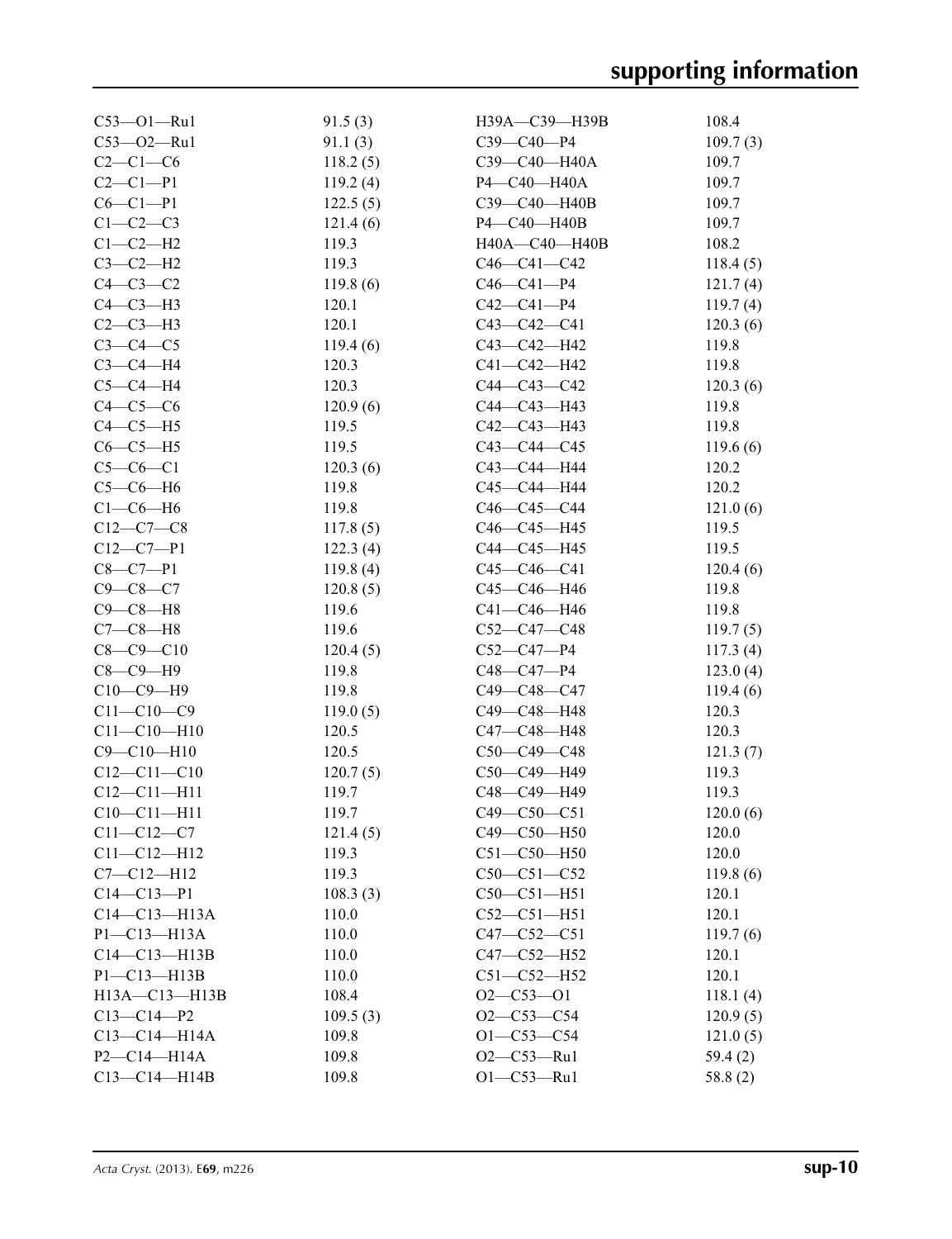| $C53 - O1 - Ru1$    | 91.5(3)           | H39A-C39-H39B     | 108.4    |
|---------------------|-------------------|-------------------|----------|
| $C53 - O2 - Ru1$    | 91.1(3)           | $C39 - C40 - P4$  | 109.7(3) |
| $C2-C1-C6$          | 118.2(5)          | C39-C40-H40A      | 109.7    |
| $C2 - C1 - P1$      | 119.2(4)          | P4-C40-H40A       | 109.7    |
| $C6 - C1 - P1$      | 122.5(5)          | C39-C40-H40B      | 109.7    |
| $C1-C2-C3$          | 121.4(6)          | P4-C40-H40B       | 109.7    |
| $C1-C2-H2$          | 119.3             | H40A-C40-H40B     | 108.2    |
| $C3-C2-H2$          | 119.3             | $C46 - C41 - C42$ | 118.4(5) |
| $C4-C3-C2$          | 119.8(6)          | $C46 - C41 - P4$  | 121.7(4) |
| $C4-C3-H3$          | 120.1             | $C42 - C41 - P4$  | 119.7(4) |
| $C2-C3-H3$          | 120.1             | $C43 - C42 - C41$ | 120.3(6) |
| $C3-C4-C5$          | 119.4(6)          | C43-C42-H42       | 119.8    |
| $C3-C4-H4$          | 120.3             | C41-C42-H42       | 119.8    |
| $C5-C4-H4$          | 120.3             | C44-C43-C42       | 120.3(6) |
| $C4-C5-C6$          | 120.9(6)          | C44-C43-H43       | 119.8    |
| $C4-C5-H5$          | 119.5             | $C42 - C43 - H43$ | 119.8    |
| $C6-C5-H5$          | 119.5             | $C43 - C44 - C45$ | 119.6(6) |
| $C5-C6-C1$          | 120.3(6)          | C43-C44-H44       | 120.2    |
| $C5-C6-H6$          | 119.8             | C45-C44-H44       | 120.2    |
| $C1-C6-H6$          | 119.8             | $C46 - C45 - C44$ | 121.0(6) |
| $C12-C7-C8$         | 117.8(5)          | $C46 - C45 - H45$ | 119.5    |
| $C12 - C7 - P1$     | 122.3(4)          | C44—C45—H45       | 119.5    |
| $C8 - C7 - P1$      | 119.8(4)          | $C45 - C46 - C41$ | 120.4(6) |
| $C9 - C8 - C7$      |                   | C45-C46-H46       |          |
| $C9 - C8 - H8$      | 120.8(5)<br>119.6 | C41-C46-H46       | 119.8    |
|                     |                   |                   | 119.8    |
| $C7-C8-H8$          | 119.6             | $C52-C47-C48$     | 119.7(5) |
| $C8 - C9 - C10$     | 120.4(5)          | $C52-C47-P4$      | 117.3(4) |
| $C8 - C9 - H9$      | 119.8             | C48-C47-P4        | 123.0(4) |
| $C10-C9-H9$         | 119.8             | C49-C48-C47       | 119.4(6) |
| $C11 - C10 - C9$    | 119.0(5)          | C49-C48-H48       | 120.3    |
| $C11 - C10 - H10$   | 120.5             | C47-C48-H48       | 120.3    |
| $C9 - C10 - H10$    | 120.5             | $C50-C49-C48$     | 121.3(7) |
| $C12 - C11 - C10$   | 120.7(5)          | C50-C49-H49       | 119.3    |
| $C12 - C11 - H11$   | 119.7             | C48-C49-H49       | 119.3    |
| $C10-C11-H11$       | 119.7             | $C49 - C50 - C51$ | 120.0(6) |
| $C11 - C12 - C7$    | 121.4(5)          | C49-C50-H50       | 120.0    |
| $C11 - C12 - H12$   | 119.3             | $C51 - C50 - H50$ | 120.0    |
| $C7 - C12 - H12$    | 119.3             | $C50 - C51 - C52$ | 119.8(6) |
| $C14 - C13 - P1$    | 108.3(3)          | $C50-C51-H51$     | 120.1    |
| $C14 - C13 - H13A$  | 110.0             | $C52 - C51 - H51$ | 120.1    |
| $P1 - C13 - H13A$   | 110.0             | $C47 - C52 - C51$ | 119.7(6) |
| $C14-C13-H13B$      | 110.0             | C47-C52-H52       | 120.1    |
| P1-C13-H13B         | 110.0             | $C51 - C52 - H52$ | 120.1    |
| $H13A - C13 - H13B$ | 108.4             | $O2 - C53 - O1$   | 118.1(4) |
| $C13 - C14 - P2$    | 109.5(3)          | $O2 - C53 - C54$  | 120.9(5) |
| $C13-C14-H14A$      | 109.8             | $O1 - C53 - C54$  | 121.0(5) |
| P2-C14-H14A         | 109.8             | $O2-C53-Ru1$      | 59.4 (2) |
| $C13-C14-H14B$      | 109.8             | $O1 - C53 - Ru1$  | 58.8(2)  |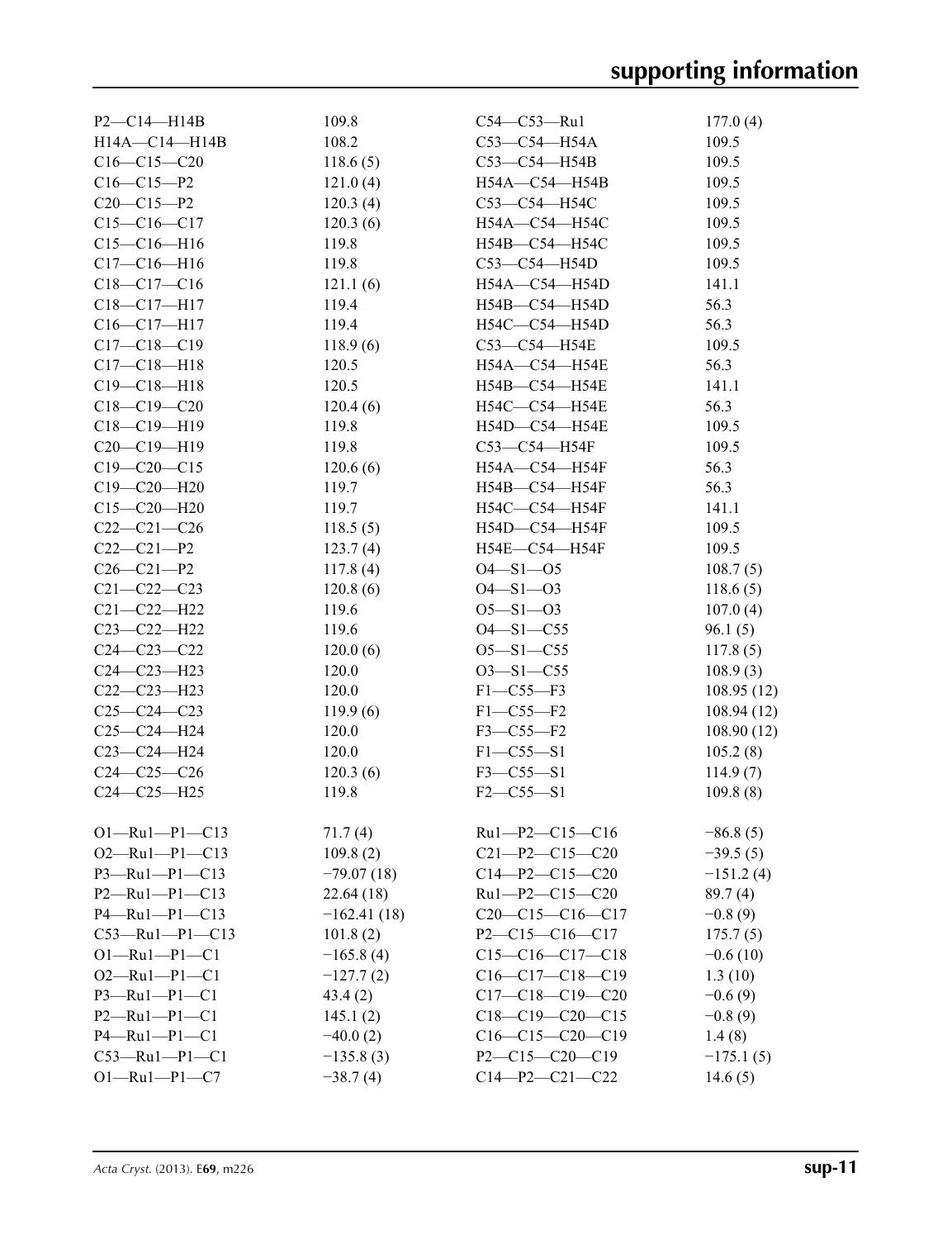| $P2 - C14 - H14B$     | 109.8         | C54-C53-Ru1            | 177.0(4)    |
|-----------------------|---------------|------------------------|-------------|
| H14A-C14-H14B         | 108.2         | $C53-C54-H54A$         | 109.5       |
| $C16-C15-C20$         | 118.6(5)      | $C53-C54-H54B$         | 109.5       |
| $C16 - C15 - P2$      | 121.0(4)      | H54A-C54-H54B          | 109.5       |
| $C20-C15-P2$          | 120.3(4)      | C53-C54-H54C           | 109.5       |
| $C15-C16-C17$         | 120.3(6)      | H54A-C54-H54C          | 109.5       |
| $C15-C16-H16$         | 119.8         | H54B-C54-H54C          | 109.5       |
| $C17 - C16 - H16$     | 119.8         | C53-C54-H54D           | 109.5       |
| $C18-C17-C16$         | 121.1(6)      | H54A-C54-H54D          | 141.1       |
| $C18-C17-H17$         | 119.4         | $H54B - C54 - H54D$    | 56.3        |
| $C16 - C17 - H17$     | 119.4         | H54C-C54-H54D          | 56.3        |
| $C17 - C18 - C19$     | 118.9(6)      | C53-C54-H54E           | 109.5       |
| $C17 - C18 - H18$     | 120.5         | H54A-C54-H54E          | 56.3        |
| $C19 - C18 - H18$     | 120.5         | H54B-C54-H54E          | 141.1       |
| $C18 - C19 - C20$     | 120.4(6)      | H54C-C54-H54E          | 56.3        |
| $C18 - C19 - H19$     | 119.8         | H54D-C54-H54E          | 109.5       |
| $C20-C19-H19$         | 119.8         | $C53-C54-H54F$         | 109.5       |
| $C19 - C20 - C15$     | 120.6(6)      | H54A-C54-H54F          | 56.3        |
| $C19 - C20 - H20$     | 119.7         | H54B-C54-H54F          | 56.3        |
|                       |               |                        |             |
| $C15 - C20 - H20$     | 119.7         | H54C-C54-H54F          | 141.1       |
| $C22-C21-C26$         | 118.5(5)      | H54D-C54-H54F          | 109.5       |
| $C22-C21-P2$          | 123.7(4)      | H54E-C54-H54F          | 109.5       |
| $C26 - C21 - P2$      | 117.8(4)      | $O4 - S1 - O5$         | 108.7(5)    |
| $C21 - C22 - C23$     | 120.8(6)      | $O4 - S1 - O3$         | 118.6(5)    |
| $C21 - C22 - H22$     | 119.6         | $O5 - S1 - O3$         | 107.0(4)    |
| C23-C22-H22           | 119.6         | $O4 - S1 - C55$        | 96.1(5)     |
| $C24 - C23 - C22$     | 120.0(6)      | $O5 - S1 - C55$        | 117.8(5)    |
| $C24 - C23 - H23$     | 120.0         | $O3 - S1 - C55$        | 108.9(3)    |
| $C22-C23-H23$         | 120.0         | $F1 - C55 - F3$        | 108.95(12)  |
| $C25-C24-C23$         | 119.9(6)      | $F1 - C55 - F2$        | 108.94(12)  |
| $C25-C24-H24$         | 120.0         | $F3 - C55 - F2$        | 108.90(12)  |
| C23-C24-H24           | 120.0         | $F1 - C55 - S1$        | 105.2(8)    |
| $C24 - C25 - C26$     | 120.3(6)      | $F3 - C55 - S1$        | 114.9(7)    |
| $C24 - C25 - H25$     | 119.8         | $F2 - C55 - S1$        | 109.8(8)    |
|                       |               |                        |             |
| $O1 - Ru1 - P1 - C13$ | 71.7(4)       | $Ru1-P2-C15-C16$       | $-86.8(5)$  |
| $O2 - Ru1 - P1 - C13$ | 109.8(2)      | $C21-P2-C15-C20$       | $-39.5(5)$  |
| $P3 - Ru1 - P1 - C13$ | $-79.07(18)$  | $C14 - P2 - C15 - C20$ | $-151.2(4)$ |
| $P2 - Ru1 - P1 - C13$ | 22.64(18)     | Ru1-P2-C15-C20         | 89.7(4)     |
| $P4 - Ru1 - P1 - C13$ | $-162.41(18)$ | $C20-C15-C16-C17$      | $-0.8(9)$   |
| $C53$ —Ru1—P1—C13     | 101.8(2)      | $P2 - C15 - C16 - C17$ | 175.7(5)    |
| $O1 - Ru1 - P1 - C1$  | $-165.8(4)$   | $C15-C16-C17-C18$      | $-0.6(10)$  |
| $O2 - Ru1 - Pl - Cl$  | $-127.7(2)$   | $C16-C17-C18-C19$      | 1.3(10)     |
| $P3 - Ru1 - P1 - C1$  | 43.4(2)       | $C17-C18-C19-C20$      | $-0.6(9)$   |
| $P2 - Ru1 - P1 - C1$  | 145.1(2)      | $C18-C19-C20-C15$      | $-0.8(9)$   |
| $P4 - Ru1 - P1 - C1$  | $-40.0(2)$    | $C16-C15-C20-C19$      | 1.4(8)      |
| $C53$ —Rul—Pl—Cl      | $-135.8(3)$   | $P2 - C15 - C20 - C19$ | $-175.1(5)$ |
| $O1 - Ru1 - P1 - C7$  | $-38.7(4)$    | $C14 - P2 - C21 - C22$ | 14.6(5)     |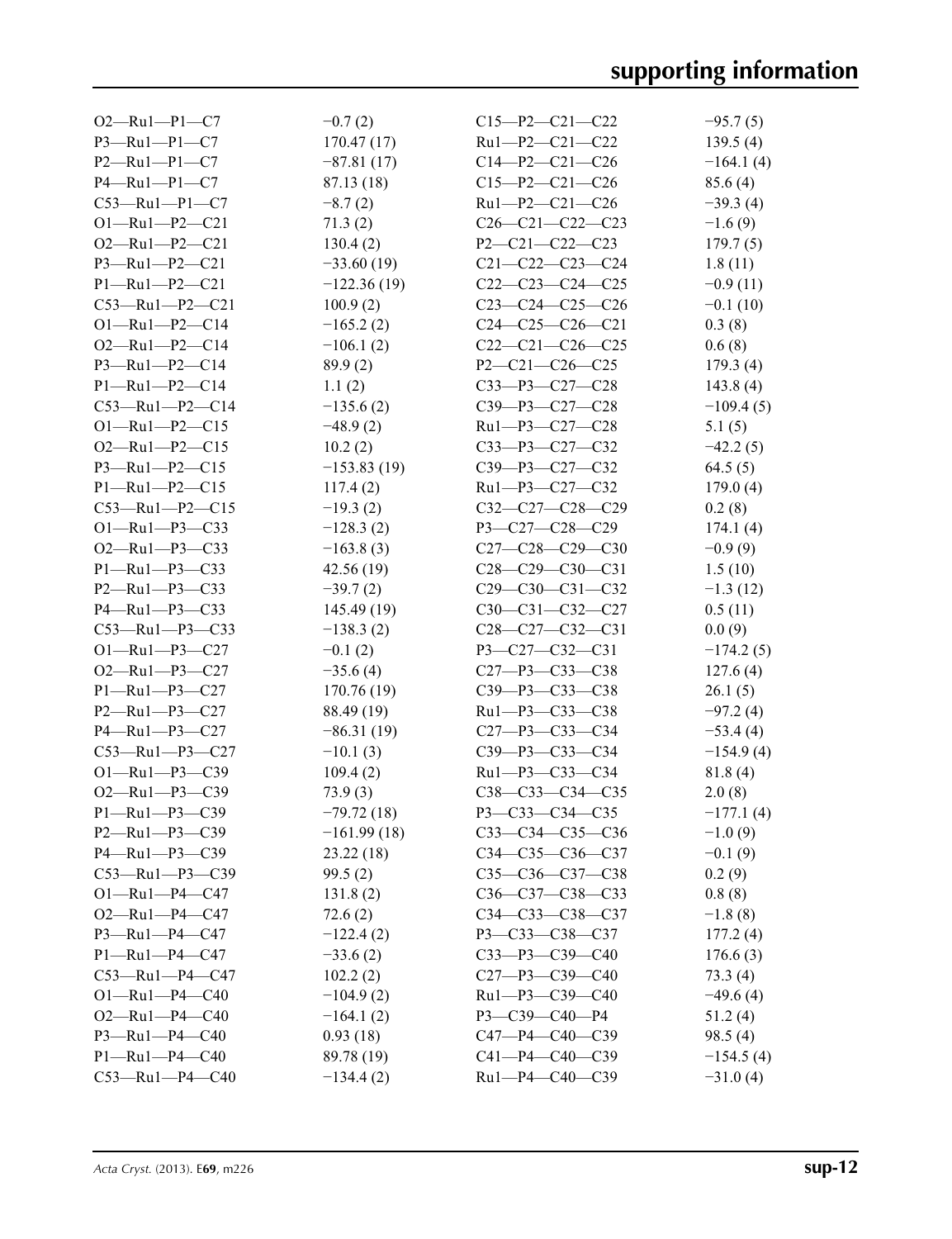| $O2 - Ru1 - P1 - C7$   | $-0.7(2)$     | $C15 - P2 - C21 - C22$  | $-95.7(5)$  |
|------------------------|---------------|-------------------------|-------------|
| $P3 - Ru1 - P1 - C7$   | 170.47(17)    | Ru1-P2-C21-C22          | 139.5(4)    |
| $P2 - Ru1 - P1 - C7$   | $-87.81(17)$  | $C14-P2-C21-C26$        | $-164.1(4)$ |
| $P4 - Ru1 - P1 - C7$   | 87.13 (18)    | $C15-P2-C21-C26$        | 85.6(4)     |
| $C53 - Ru1 - P1 - C7$  | $-8.7(2)$     | Ru1-P2-C21-C26          | $-39.3(4)$  |
| $O1 - Ru1 - P2 - C21$  | 71.3(2)       | $C26-C21-C22-C23$       | $-1.6(9)$   |
| $O2 - Ru1 - P2 - C21$  | 130.4(2)      | $P2 - C21 - C22 - C23$  | 179.7(5)    |
| $P3 - Ru1 - P2 - C21$  | $-33.60(19)$  | $C21 - C22 - C23 - C24$ | 1.8(11)     |
| $P1 - Ru1 - P2 - C21$  | $-122.36(19)$ | $C22-C23-C24-C25$       | $-0.9(11)$  |
| $C53 - Ru1 - P2 - C21$ | 100.9(2)      | $C23-C24-C25-C26$       | $-0.1(10)$  |
| $O1 - Ru1 - P2 - C14$  | $-165.2(2)$   | $C24-C25-C26-C21$       | 0.3(8)      |
| $O2 - Ru1 - P2 - C14$  | $-106.1(2)$   | $C22-C21-C26-C25$       | 0.6(8)      |
| $P3 - Ru1 - P2 - C14$  | 89.9(2)       | $P2 - C21 - C26 - C25$  | 179.3(4)    |
| $P1 - Ru1 - P2 - C14$  | 1.1(2)        | $C33 - P3 - C27 - C28$  | 143.8(4)    |
| $C53$ —Ru1—P2—C14      | $-135.6(2)$   | $C39 - P3 - C27 - C28$  | $-109.4(5)$ |
| $O1 - Ru1 - P2 - C15$  | $-48.9(2)$    | $Ru1-P3-C27-C28$        | 5.1(5)      |
| $O2 - Ru1 - P2 - C15$  | 10.2(2)       | $C33 - P3 - C27 - C32$  | $-42.2(5)$  |
| $P3 - Ru1 - P2 - C15$  | $-153.83(19)$ | $C39 - P3 - C27 - C32$  | 64.5(5)     |
| $P1 - Ru1 - P2 - C15$  | 117.4(2)      | $Ru1-P3-C27-C32$        | 179.0(4)    |
| $C53 - Ru1 - P2 - C15$ | $-19.3(2)$    | $C32-C27-C28-C29$       | 0.2(8)      |
| $O1 - Ru1 - P3 - C33$  | $-128.3(2)$   | $P3 - C27 - C28 - C29$  | 174.1(4)    |
| $O2$ —Ru1—P3—C33       | $-163.8(3)$   | $C27-C28-C29-C30$       | $-0.9(9)$   |
| $P1 - Ru1 - P3 - C33$  | 42.56(19)     | $C28-C29-C30-C31$       | 1.5(10)     |
| $P2 - Ru1 - P3 - C33$  | $-39.7(2)$    | $C29-C30-C31-C32$       | $-1.3(12)$  |
| $P4 - Ru1 - P3 - C33$  | 145.49 (19)   | $C30-C31-C32-C27$       | 0.5(11)     |
| $C53 - Ru1 - P3 - C33$ | $-138.3(2)$   | $C28-C27-C32-C31$       | 0.0(9)      |
| $O1 - Ru1 - P3 - C27$  | $-0.1(2)$     | $P3 - C27 - C32 - C31$  | $-174.2(5)$ |
| $O2 - Ru1 - P3 - C27$  | $-35.6(4)$    | $C27 - P3 - C33 - C38$  | 127.6(4)    |
| $P1 - Ru1 - P3 - C27$  | 170.76(19)    | C39-P3-C33-C38          | 26.1(5)     |
| $P2 - Ru1 - P3 - C27$  | 88.49 (19)    | Ru1-P3-C33-C38          | $-97.2(4)$  |
| $P4 - Ru1 - P3 - C27$  | $-86.31(19)$  | $C27 - P3 - C33 - C34$  | $-53.4(4)$  |
| $C53 - Ru1 - P3 - C27$ | $-10.1(3)$    | $C39 - P3 - C33 - C34$  | $-154.9(4)$ |
| $O1 - Ru1 - P3 - C39$  | 109.4(2)      | $Ru1-P3-C33-C34$        | 81.8(4)     |
| $O2 - Ru1 - P3 - C39$  | 73.9(3)       | $C38-C33-C34-C35$       | 2.0(8)      |
| P1-Ru1-P3-C39          | $-79.72(18)$  | P3-C33-C34-C35          | $-177.1(4)$ |
| $P2 - Ru1 - P3 - C39$  | $-161.99(18)$ | $C33 - C34 - C35 - C36$ | $-1.0(9)$   |
| $P4 - Ru1 - P3 - C39$  | 23.22(18)     | $C34 - C35 - C36 - C37$ | $-0.1(9)$   |
| $C53 - Ru1 - P3 - C39$ | 99.5(2)       | $C35 - C36 - C37 - C38$ | 0.2(9)      |
| $O1 - Ru1 - P4 - C47$  | 131.8(2)      | $C36-C37-C38-C33$       | 0.8(8)      |
| $O2 - Ru1 - P4 - C47$  | 72.6(2)       | $C34 - C33 - C38 - C37$ | $-1.8(8)$   |
| $P3 - Ru1 - P4 - C47$  | $-122.4(2)$   | P3-C33-C38-C37          | 177.2(4)    |
| $P1 - Ru1 - P4 - C47$  | $-33.6(2)$    | $C33 - P3 - C39 - C40$  | 176.6(3)    |
| $C53 - Ru1 - P4 - C47$ | 102.2(2)      | C27-P3-C39-C40          | 73.3 (4)    |
| $O1 - Ru1 - P4 - C40$  | $-104.9(2)$   | Ru1-P3-C39-C40          | $-49.6(4)$  |
| $O2 - Ru1 - P4 - C40$  | $-164.1(2)$   | $P3 - C39 - C40 - P4$   | 51.2(4)     |
| $P3 - Ru1 - P4 - C40$  | 0.93(18)      | $C47 - P4 - C40 - C39$  | 98.5(4)     |
| $P1 - Ru1 - P4 - C40$  | 89.78 (19)    | $C41 - P4 - C40 - C39$  | $-154.5(4)$ |
| $C53 - Ru1 - P4 - C40$ | $-134.4(2)$   | Ru1-P4-C40-C39          | $-31.0(4)$  |
|                        |               |                         |             |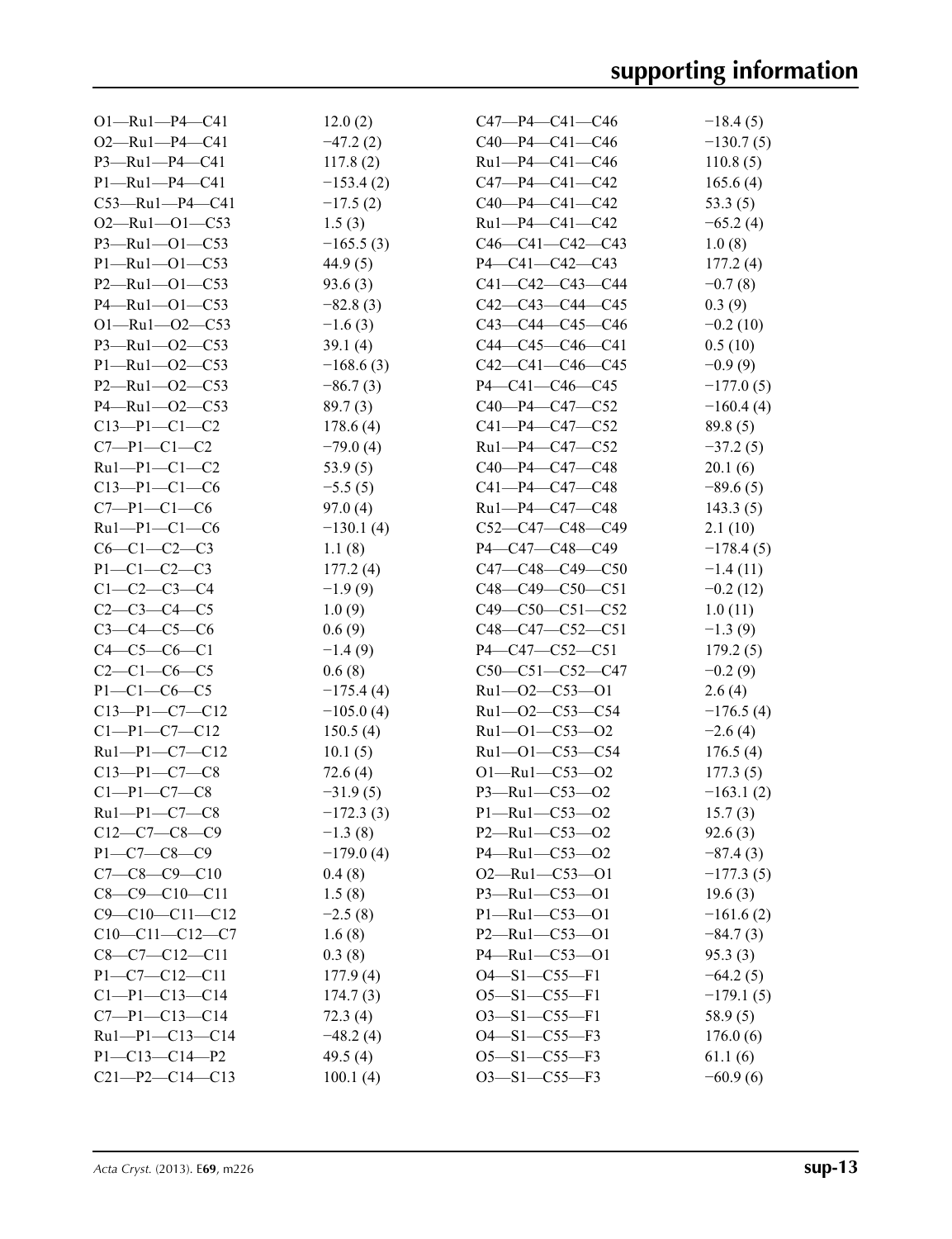| $O1 - Ru1 - P4 - C41$  | 12.0(2)     | $C47 - P4 - C41 - C46$  | $-18.4(5)$  |
|------------------------|-------------|-------------------------|-------------|
| $O2 - Ru1 - P4 - C41$  | $-47.2(2)$  | $C40-P4-C41-C46$        | $-130.7(5)$ |
| $P3 - Ru1 - P4 - C41$  | 117.8(2)    | $Ru1 - P4 - C41 - C46$  | 110.8(5)    |
| $P1 - Ru1 - P4 - C41$  | $-153.4(2)$ | $C47 - P4 - C41 - C42$  | 165.6(4)    |
| $C53$ —Ru1—P4—C41      | $-17.5(2)$  | $C40-P4-C41-C42$        | 53.3 $(5)$  |
| $O2 - Ru1 - O1 - C53$  | 1.5(3)      | $Ru1 - P4 - C41 - C42$  | $-65.2(4)$  |
| $P3 - Ru1 - O1 - C53$  | $-165.5(3)$ | $C46-C41-C42-C43$       | 1.0(8)      |
| $P1 - Ru1 - O1 - C53$  | 44.9(5)     | $P4 - C41 - C42 - C43$  | 177.2(4)    |
| $P2 - Ru1 - O1 - C53$  | 93.6(3)     | $C41 - C42 - C43 - C44$ | $-0.7(8)$   |
| $P4 - Ru1 - O1 - C53$  | $-82.8(3)$  | $C42-C43-C44-C45$       | 0.3(9)      |
| $O1 - Ru1 - O2 - C53$  | $-1.6(3)$   | $C43-C44-C45-C46$       | $-0.2(10)$  |
| P3-Ru1-02-C53          | 39.1 $(4)$  | $C44-C45-C46-C41$       | 0.5(10)     |
| $P1 - Ru1 - O2 - C53$  | $-168.6(3)$ | $C42-C41-C46-C45$       | $-0.9(9)$   |
| $P2 - Ru1 - O2 - C53$  | $-86.7(3)$  | $P4 - C41 - C46 - C45$  | $-177.0(5)$ |
| $P4 - Ru1 - O2 - C53$  | 89.7(3)     | $C40-P4-C47-C52$        | $-160.4(4)$ |
| $C13-P1-C1-C2$         | 178.6(4)    | $C41 - P4 - C47 - C52$  | 89.8(5)     |
| $C7-P1-C1-C2$          | $-79.0(4)$  | $Ru1 - P4 - C47 - C52$  | $-37.2(5)$  |
| $Ru1-P1-C1-C2$         | 53.9 $(5)$  | $C40 - P4 - C47 - C48$  | 20.1(6)     |
| $C13-P1-C1-C6$         | $-5.5(5)$   | $C41 - P4 - C47 - C48$  | $-89.6(5)$  |
| $C7-P1-C1-C6$          | 97.0(4)     | Ru1-P4-C47-C48          | 143.3(5)    |
| $Ru1-P1-C1-C6$         | $-130.1(4)$ | $C52-C47-C48-C49$       | 2.1(10)     |
| $C6-C1-C2-C3$          | 1.1(8)      | P4—C47—C48—C49          | $-178.4(5)$ |
| $P1 - C1 - C2 - C3$    | 177.2(4)    | $C47-C48-C49-C50$       | $-1.4(11)$  |
| $C1 - C2 - C3 - C4$    | $-1.9(9)$   | $C48-C49-C50-C51$       | $-0.2(12)$  |
| $C2-C3-C4-C5$          | 1.0(9)      | $C49 - C50 - C51 - C52$ | 1.0(11)     |
| $C3 - C4 - C5 - C6$    | 0.6(9)      | $C48-C47-C52-C51$       | $-1.3(9)$   |
| $C4 - C5 - C6 - C1$    | $-1.4(9)$   | $P4 - C47 - C52 - C51$  | 179.2(5)    |
| $C2-C1-C6-C5$          | 0.6(8)      | $C50-C51-C52-C47$       | $-0.2(9)$   |
| $P1 - C1 - C6 - C5$    | $-175.4(4)$ | $Ru1 - O2 - C53 - O1$   | 2.6(4)      |
| $C13-P1-C7-C12$        | $-105.0(4)$ | Ru1-02-C53-C54          | $-176.5(4)$ |
| $C1-P1-C7-C12$         | 150.5(4)    | $Ru1 - O1 - C53 - O2$   | $-2.6(4)$   |
| $Ru1-P1-C7-C12$        | 10.1(5)     | Ru1-01-C53-C54          | 176.5(4)    |
| $C13-P1-C7-C8$         | 72.6(4)     | $O1 - Ru1 - C53 - O2$   | 177.3(5)    |
| $C1-P1-C7-C8$          | $-31.9(5)$  | P3-Ru1-C53-O2           | $-163.1(2)$ |
| $Ru1-P1-C7-C8$         | $-172.3(3)$ | P1-Ru1-C53-O2           | 15.7(3)     |
| $C12-C7-C8-C9$         | $-1.3(8)$   | P2-Ru1-C53-O2           | 92.6(3)     |
| $P1 - C7 - C8 - C9$    | $-179.0(4)$ | $P4 - Ru1 - C53 - O2$   | $-87.4(3)$  |
| $C7-C8-C9-C10$         | 0.4(8)      | $O2$ —Ru1—C53—O1        | $-177.3(5)$ |
| $C8-C9-C10-C11$        | 1.5(8)      | $P3 - Ru1 - C53 - O1$   | 19.6(3)     |
| $C9 - C10 - C11 - C12$ | $-2.5(8)$   | $P1 - Ru1 - C53 - O1$   | $-161.6(2)$ |
| $C10-C11-C12-C7$       | 1.6(8)      | $P2 - Ru1 - C53 - O1$   | $-84.7(3)$  |
| $C8-C7-C12-C11$        | 0.3(8)      | $P4 - Ru1 - C53 - O1$   | 95.3(3)     |
| $P1 - C7 - C12 - C11$  | 177.9(4)    | $O4 - S1 - C55 - F1$    | $-64.2(5)$  |
| $C1-P1-C13-C14$        | 174.7(3)    | $O5 - S1 - C55 - F1$    | $-179.1(5)$ |
| $C7 - P1 - C13 - C14$  | 72.3(4)     | $O3 - S1 - C55 - F1$    | 58.9(5)     |
| Ru1-P1-C13-C14         | $-48.2(4)$  | $O4 - S1 - C55 - F3$    | 176.0(6)    |
| $P1 - C13 - C14 - P2$  | 49.5 $(4)$  | $O5 - S1 - C55 - F3$    | 61.1(6)     |
| $C21-P2-C14-C13$       | 100.1(4)    | $O3 - S1 - C55 - F3$    | $-60.9(6)$  |
|                        |             |                         |             |